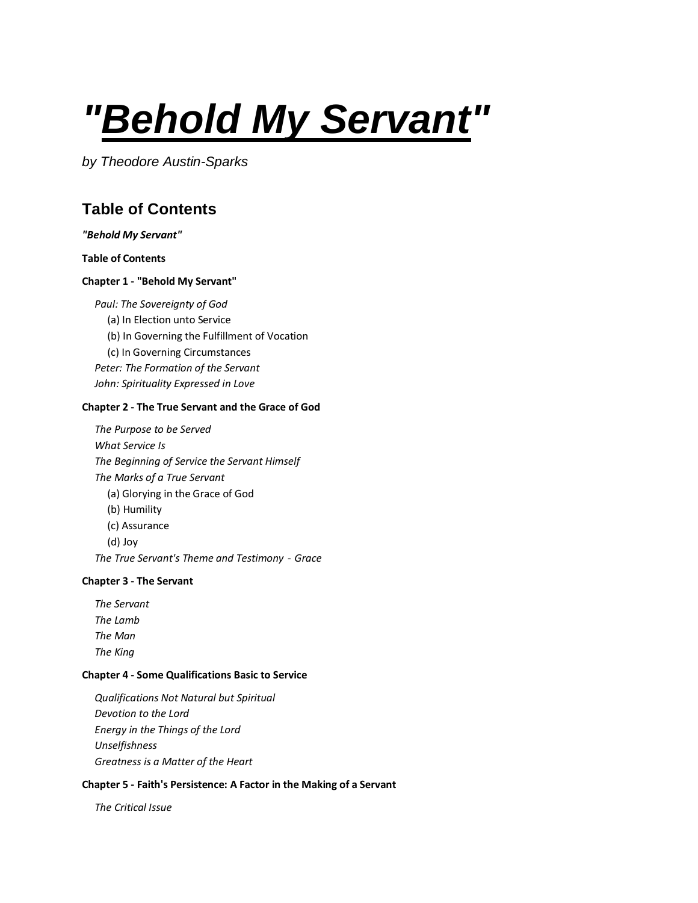# <span id="page-0-0"></span>*"Behold My Servant"*

*by Theodore Austin-Sparks*

# <span id="page-0-1"></span>**Table of Contents**

#### *["Behold My](#page-0-0) Servant"*

#### **[Table of Contents](#page-0-1)**

#### **Chapter 1 - ["Behold My Servant"](#page-2-0)**

*[Paul: The Sovereignty of God](#page-3-0)*

- [\(a\) In Election unto Service](#page-3-1)
- [\(b\) In Governing the Fulfillment of Vocation](#page-4-0)
- [\(c\) In Governing Circumstances](#page-5-0)

*[Peter: The Formation of the Servant](#page-5-1) [John: Spirituality Expressed in Love](#page-6-0)*

#### **Chapter 2 - [The True Servant and the Grace of God](#page-8-0)**

*[The Purpose to be Served](#page-8-1) [What Service Is](#page-8-2) [The Beginning of Service the Servant Himself](#page-9-0) [The Marks of a True Servant](#page-11-0)* [\(a\) Glorying in the Grace of God](#page-11-1) [\(b\) Humility](#page-13-0) (c) [Assurance](#page-13-1) [\(d\) Joy](#page-13-2) *[The True Servant's Theme and Testimony](#page-13-3) - Grace*

#### **Chapter 3 - [The Servant](#page-15-0)**

*[The Servant](#page-15-1) [The Lamb](#page-16-0) [The Man](#page-17-0) [The King](#page-18-0)*

#### **Chapter 4 - [Some Qualifications Basic to Service](#page-20-0)**

*[Qualifications Not Natural but Spiritual](#page-20-1) [Devotion to the Lord](#page-20-2) [Energy in the Things of the Lord](#page-20-3) [Unselfishness](#page-21-0) [Greatness is a Matter of the Heart](#page-21-1)*

#### **Chapter 5 - [Faith's Persistence: A Factor in the Making of a Servant](#page-23-0)**

*[The Critical Issue](#page-23-1)*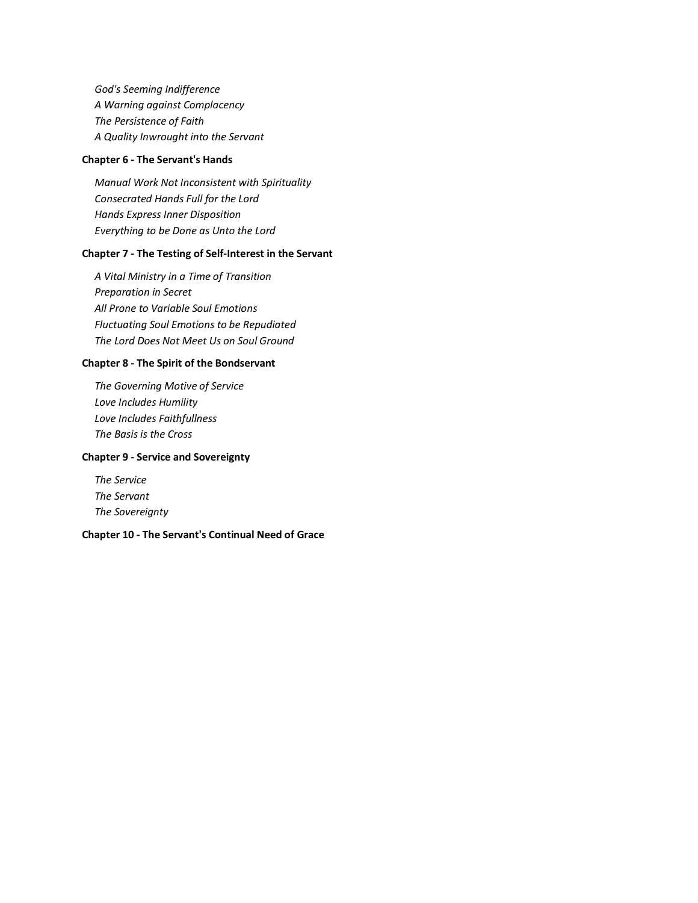*[God's Seeming Indifference](#page-24-0) [A Warning against Complacency](#page-24-1) [The Persistence of Faith](#page-25-0) [A Quality Inwrought into the Servant](#page-25-1)*

#### **Chapter 6 - [The Servant's Hands](#page-27-0)**

*Manual [Work Not Inconsistent with Spirituality](#page-27-1) [Consecrated Hands Full for the Lord](#page-27-2) [Hands Express Inner Disposition](#page-27-3) [Everything to be Done as Unto the Lord](#page-28-0)*

#### **Chapter 7 - [The Testing of Self-Interest in the Servant](#page-30-0)**

*[A Vital Ministry in a Time of Transition](#page-30-1) [Preparation in Secret](#page-31-0) [All Prone to Variable Soul Emotions](#page-31-1) [Fluctuating Soul Emotions to be Repudiated](#page-32-0) [The Lord Does Not Meet Us on Soul Ground](#page-32-1)*

#### **Chapter 8 - [The Spirit of the Bondservant](#page-34-0)**

*[The Governing Motive of Service](#page-34-1) [Love Includes Humility](#page-35-0) [Love Includes Faithfullness](#page-36-0) [The Basis is the Cross](#page-37-0)*

#### **Chapter 9 - [Service and Sovereignty](#page-38-0)**

*[The Service](#page-38-1) [The Servant](#page-39-0) [The Sovereignty](#page-40-0)*

#### **Chapter 10 - [The Servant's Continual Need of Grace](#page-44-0)**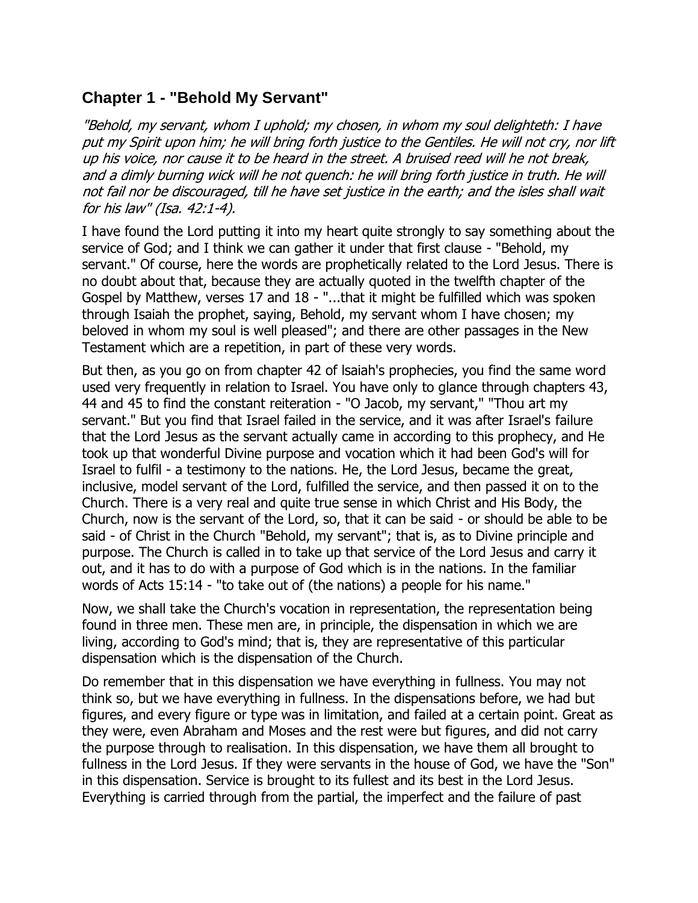# <span id="page-2-0"></span>**Chapter 1 - "Behold My Servant"**

"Behold, my servant, whom I uphold; my chosen, in whom my soul delighteth: I have put my Spirit upon him; he will bring forth justice to the Gentiles. He will not cry, nor lift up his voice, nor cause it to be heard in the street. A bruised reed will he not break, and a dimly burning wick will he not quench: he will bring forth justice in truth. He will not fail nor be discouraged, till he have set justice in the earth; and the isles shall wait for his law" (Isa. 42:1-4).

I have found the Lord putting it into my heart quite strongly to say something about the service of God; and I think we can gather it under that first clause - "Behold, my servant." Of course, here the words are prophetically related to the Lord Jesus. There is no doubt about that, because they are actually quoted in the twelfth chapter of the Gospel by Matthew, verses 17 and 18 - "...that it might be fulfilled which was spoken through Isaiah the prophet, saying, Behold, my servant whom I have chosen; my beloved in whom my soul is well pleased"; and there are other passages in the New Testament which are a repetition, in part of these very words.

But then, as you go on from chapter 42 of lsaiah's prophecies, you find the same word used very frequently in relation to Israel. You have only to glance through chapters 43, 44 and 45 to find the constant reiteration - "O Jacob, my servant," "Thou art my servant." But you find that Israel failed in the service, and it was after Israel's failure that the Lord Jesus as the servant actually came in according to this prophecy, and He took up that wonderful Divine purpose and vocation which it had been God's will for Israel to fulfil - a testimony to the nations. He, the Lord Jesus, became the great, inclusive, model servant of the Lord, fulfilled the service, and then passed it on to the Church. There is a very real and quite true sense in which Christ and His Body, the Church, now is the servant of the Lord, so, that it can be said - or should be able to be said - of Christ in the Church "Behold, my servant"; that is, as to Divine principle and purpose. The Church is called in to take up that service of the Lord Jesus and carry it out, and it has to do with a purpose of God which is in the nations. In the familiar words of Acts 15:14 - "to take out of (the nations) a people for his name."

Now, we shall take the Church's vocation in representation, the representation being found in three men. These men are, in principle, the dispensation in which we are living, according to God's mind; that is, they are representative of this particular dispensation which is the dispensation of the Church.

Do remember that in this dispensation we have everything in fullness. You may not think so, but we have everything in fullness. In the dispensations before, we had but figures, and every figure or type was in limitation, and failed at a certain point. Great as they were, even Abraham and Moses and the rest were but figures, and did not carry the purpose through to realisation. In this dispensation, we have them all brought to fullness in the Lord Jesus. If they were servants in the house of God, we have the "Son" in this dispensation. Service is brought to its fullest and its best in the Lord Jesus. Everything is carried through from the partial, the imperfect and the failure of past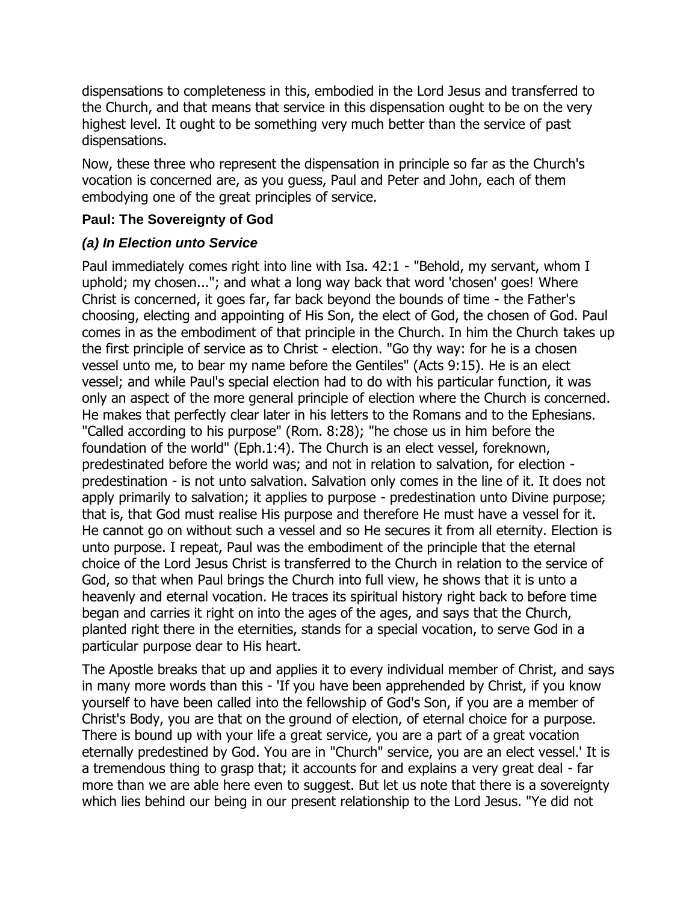dispensations to completeness in this, embodied in the Lord Jesus and transferred to the Church, and that means that service in this dispensation ought to be on the very highest level. It ought to be something very much better than the service of past dispensations.

Now, these three who represent the dispensation in principle so far as the Church's vocation is concerned are, as you guess, Paul and Peter and John, each of them embodying one of the great principles of service.

#### <span id="page-3-0"></span>**Paul: The Sovereignty of God**

#### <span id="page-3-1"></span>*(a) In Election unto Service*

Paul immediately comes right into line with Isa. 42:1 - "Behold, my servant, whom I uphold; my chosen..."; and what a long way back that word 'chosen' goes! Where Christ is concerned, it goes far, far back beyond the bounds of time - the Father's choosing, electing and appointing of His Son, the elect of God, the chosen of God. Paul comes in as the embodiment of that principle in the Church. In him the Church takes up the first principle of service as to Christ - election. "Go thy way: for he is a chosen vessel unto me, to bear my name before the Gentiles" (Acts 9:15). He is an elect vessel; and while Paul's special election had to do with his particular function, it was only an aspect of the more general principle of election where the Church is concerned. He makes that perfectly clear later in his letters to the Romans and to the Ephesians. "Called according to his purpose" (Rom. 8:28); "he chose us in him before the foundation of the world" (Eph.1:4). The Church is an elect vessel, foreknown, predestinated before the world was; and not in relation to salvation, for election predestination - is not unto salvation. Salvation only comes in the line of it. It does not apply primarily to salvation; it applies to purpose - predestination unto Divine purpose; that is, that God must realise His purpose and therefore He must have a vessel for it. He cannot go on without such a vessel and so He secures it from all eternity. Election is unto purpose. I repeat, Paul was the embodiment of the principle that the eternal choice of the Lord Jesus Christ is transferred to the Church in relation to the service of God, so that when Paul brings the Church into full view, he shows that it is unto a heavenly and eternal vocation. He traces its spiritual history right back to before time began and carries it right on into the ages of the ages, and says that the Church, planted right there in the eternities, stands for a special vocation, to serve God in a particular purpose dear to His heart.

The Apostle breaks that up and applies it to every individual member of Christ, and says in many more words than this - 'If you have been apprehended by Christ, if you know yourself to have been called into the fellowship of God's Son, if you are a member of Christ's Body, you are that on the ground of election, of eternal choice for a purpose. There is bound up with your life a great service, you are a part of a great vocation eternally predestined by God. You are in "Church" service, you are an elect vessel.' It is a tremendous thing to grasp that; it accounts for and explains a very great deal - far more than we are able here even to suggest. But let us note that there is a sovereignty which lies behind our being in our present relationship to the Lord Jesus. "Ye did not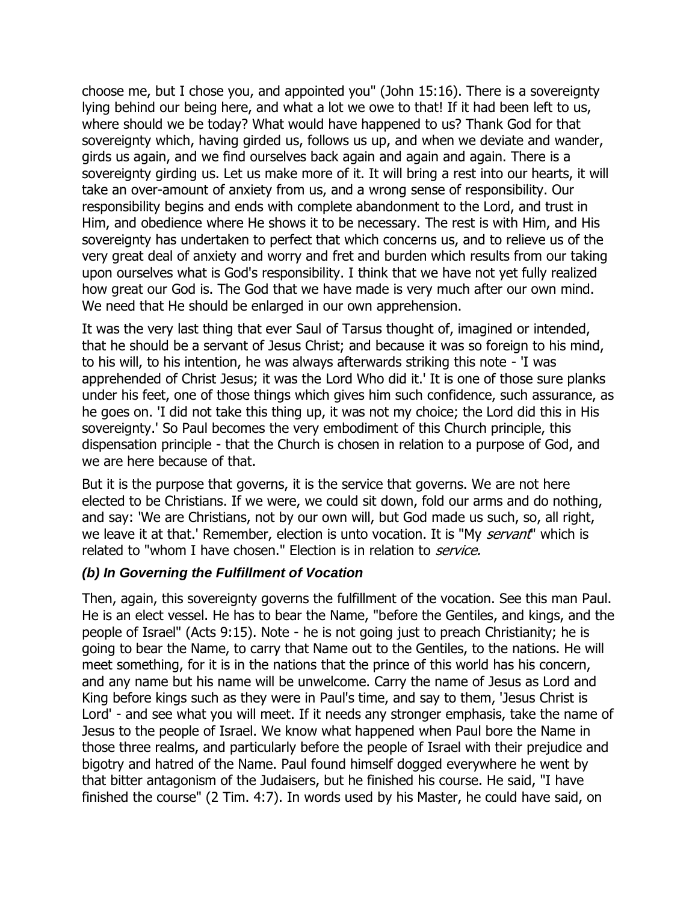choose me, but I chose you, and appointed you" (John 15:16). There is a sovereignty lying behind our being here, and what a lot we owe to that! If it had been left to us, where should we be today? What would have happened to us? Thank God for that sovereignty which, having girded us, follows us up, and when we deviate and wander, girds us again, and we find ourselves back again and again and again. There is a sovereignty girding us. Let us make more of it. It will bring a rest into our hearts, it will take an over-amount of anxiety from us, and a wrong sense of responsibility. Our responsibility begins and ends with complete abandonment to the Lord, and trust in Him, and obedience where He shows it to be necessary. The rest is with Him, and His sovereignty has undertaken to perfect that which concerns us, and to relieve us of the very great deal of anxiety and worry and fret and burden which results from our taking upon ourselves what is God's responsibility. I think that we have not yet fully realized how great our God is. The God that we have made is very much after our own mind. We need that He should be enlarged in our own apprehension.

It was the very last thing that ever Saul of Tarsus thought of, imagined or intended, that he should be a servant of Jesus Christ; and because it was so foreign to his mind, to his will, to his intention, he was always afterwards striking this note - 'I was apprehended of Christ Jesus; it was the Lord Who did it.' It is one of those sure planks under his feet, one of those things which gives him such confidence, such assurance, as he goes on. 'I did not take this thing up, it was not my choice; the Lord did this in His sovereignty.' So Paul becomes the very embodiment of this Church principle, this dispensation principle - that the Church is chosen in relation to a purpose of God, and we are here because of that.

But it is the purpose that governs, it is the service that governs. We are not here elected to be Christians. If we were, we could sit down, fold our arms and do nothing, and say: 'We are Christians, not by our own will, but God made us such, so, all right, we leave it at that.' Remember, election is unto vocation. It is "My servant" which is related to "whom I have chosen." Election is in relation to *service.* 

#### <span id="page-4-0"></span>*(b) In Governing the Fulfillment of Vocation*

Then, again, this sovereignty governs the fulfillment of the vocation. See this man Paul. He is an elect vessel. He has to bear the Name, "before the Gentiles, and kings, and the people of Israel" (Acts 9:15). Note - he is not going just to preach Christianity; he is going to bear the Name, to carry that Name out to the Gentiles, to the nations. He will meet something, for it is in the nations that the prince of this world has his concern, and any name but his name will be unwelcome. Carry the name of Jesus as Lord and King before kings such as they were in Paul's time, and say to them, 'Jesus Christ is Lord' - and see what you will meet. If it needs any stronger emphasis, take the name of Jesus to the people of Israel. We know what happened when Paul bore the Name in those three realms, and particularly before the people of Israel with their prejudice and bigotry and hatred of the Name. Paul found himself dogged everywhere he went by that bitter antagonism of the Judaisers, but he finished his course. He said, "I have finished the course" (2 Tim. 4:7). In words used by his Master, he could have said, on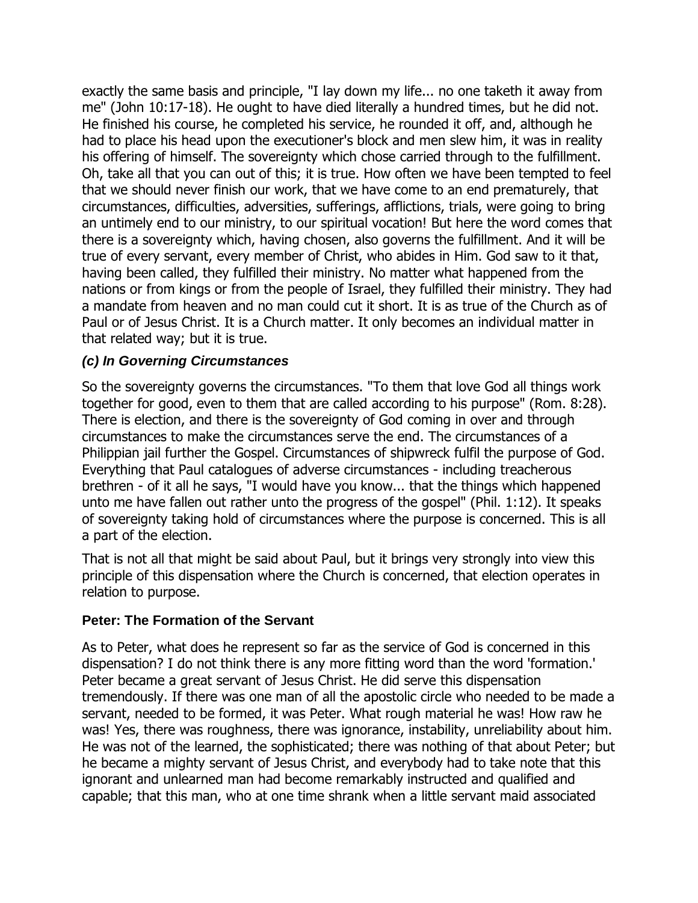exactly the same basis and principle, "I lay down my life... no one taketh it away from me" (John 10:17-18). He ought to have died literally a hundred times, but he did not. He finished his course, he completed his service, he rounded it off, and, although he had to place his head upon the executioner's block and men slew him, it was in reality his offering of himself. The sovereignty which chose carried through to the fulfillment. Oh, take all that you can out of this; it is true. How often we have been tempted to feel that we should never finish our work, that we have come to an end prematurely, that circumstances, difficulties, adversities, sufferings, afflictions, trials, were going to bring an untimely end to our ministry, to our spiritual vocation! But here the word comes that there is a sovereignty which, having chosen, also governs the fulfillment. And it will be true of every servant, every member of Christ, who abides in Him. God saw to it that, having been called, they fulfilled their ministry. No matter what happened from the nations or from kings or from the people of Israel, they fulfilled their ministry. They had a mandate from heaven and no man could cut it short. It is as true of the Church as of Paul or of Jesus Christ. It is a Church matter. It only becomes an individual matter in that related way; but it is true.

#### <span id="page-5-0"></span>*(c) In Governing Circumstances*

So the sovereignty governs the circumstances. "To them that love God all things work together for good, even to them that are called according to his purpose" (Rom. 8:28). There is election, and there is the sovereignty of God coming in over and through circumstances to make the circumstances serve the end. The circumstances of a Philippian jail further the Gospel. Circumstances of shipwreck fulfil the purpose of God. Everything that Paul catalogues of adverse circumstances - including treacherous brethren - of it all he says, "I would have you know... that the things which happened unto me have fallen out rather unto the progress of the gospel" (Phil. 1:12). It speaks of sovereignty taking hold of circumstances where the purpose is concerned. This is all a part of the election.

That is not all that might be said about Paul, but it brings very strongly into view this principle of this dispensation where the Church is concerned, that election operates in relation to purpose.

#### <span id="page-5-1"></span>**Peter: The Formation of the Servant**

As to Peter, what does he represent so far as the service of God is concerned in this dispensation? I do not think there is any more fitting word than the word 'formation.' Peter became a great servant of Jesus Christ. He did serve this dispensation tremendously. If there was one man of all the apostolic circle who needed to be made a servant, needed to be formed, it was Peter. What rough material he was! How raw he was! Yes, there was roughness, there was ignorance, instability, unreliability about him. He was not of the learned, the sophisticated; there was nothing of that about Peter; but he became a mighty servant of Jesus Christ, and everybody had to take note that this ignorant and unlearned man had become remarkably instructed and qualified and capable; that this man, who at one time shrank when a little servant maid associated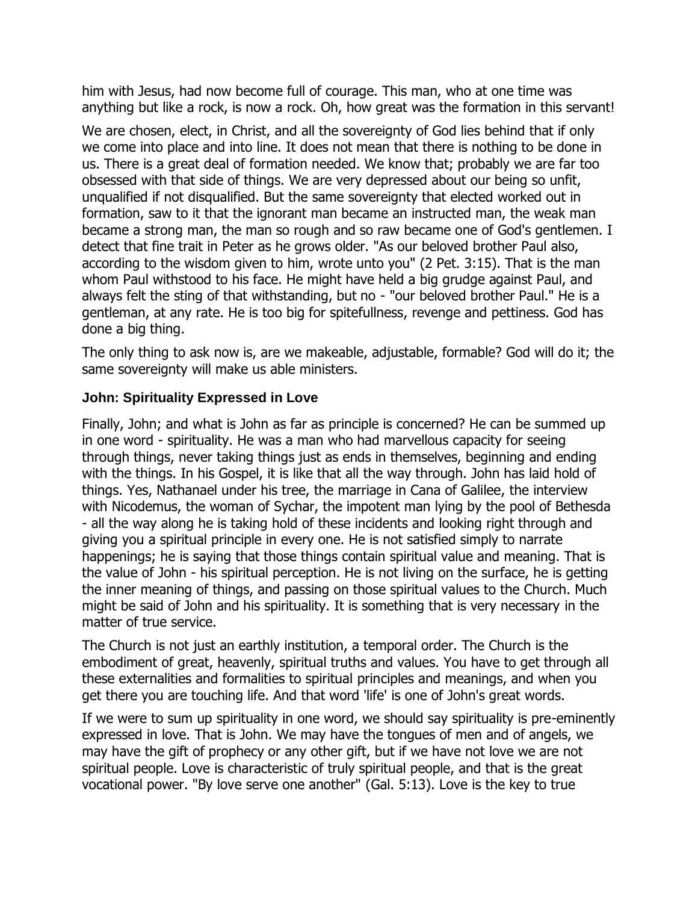him with Jesus, had now become full of courage. This man, who at one time was anything but like a rock, is now a rock. Oh, how great was the formation in this servant!

We are chosen, elect, in Christ, and all the sovereignty of God lies behind that if only we come into place and into line. It does not mean that there is nothing to be done in us. There is a great deal of formation needed. We know that; probably we are far too obsessed with that side of things. We are very depressed about our being so unfit, unqualified if not disqualified. But the same sovereignty that elected worked out in formation, saw to it that the ignorant man became an instructed man, the weak man became a strong man, the man so rough and so raw became one of God's gentlemen. I detect that fine trait in Peter as he grows older. "As our beloved brother Paul also, according to the wisdom given to him, wrote unto you" (2 Pet. 3:15). That is the man whom Paul withstood to his face. He might have held a big grudge against Paul, and always felt the sting of that withstanding, but no - "our beloved brother Paul." He is a gentleman, at any rate. He is too big for spitefullness, revenge and pettiness. God has done a big thing.

The only thing to ask now is, are we makeable, adjustable, formable? God will do it; the same sovereignty will make us able ministers.

#### <span id="page-6-0"></span>**John: Spirituality Expressed in Love**

Finally, John; and what is John as far as principle is concerned? He can be summed up in one word - spirituality. He was a man who had marvellous capacity for seeing through things, never taking things just as ends in themselves, beginning and ending with the things. In his Gospel, it is like that all the way through. John has laid hold of things. Yes, Nathanael under his tree, the marriage in Cana of Galilee, the interview with Nicodemus, the woman of Sychar, the impotent man lying by the pool of Bethesda - all the way along he is taking hold of these incidents and looking right through and giving you a spiritual principle in every one. He is not satisfied simply to narrate happenings; he is saying that those things contain spiritual value and meaning. That is the value of John - his spiritual perception. He is not living on the surface, he is getting the inner meaning of things, and passing on those spiritual values to the Church. Much might be said of John and his spirituality. It is something that is very necessary in the matter of true service.

The Church is not just an earthly institution, a temporal order. The Church is the embodiment of great, heavenly, spiritual truths and values. You have to get through all these externalities and formalities to spiritual principles and meanings, and when you get there you are touching life. And that word 'life' is one of John's great words.

If we were to sum up spirituality in one word, we should say spirituality is pre-eminently expressed in love. That is John. We may have the tongues of men and of angels, we may have the gift of prophecy or any other gift, but if we have not love we are not spiritual people. Love is characteristic of truly spiritual people, and that is the great vocational power. "By love serve one another" (Gal. 5:13). Love is the key to true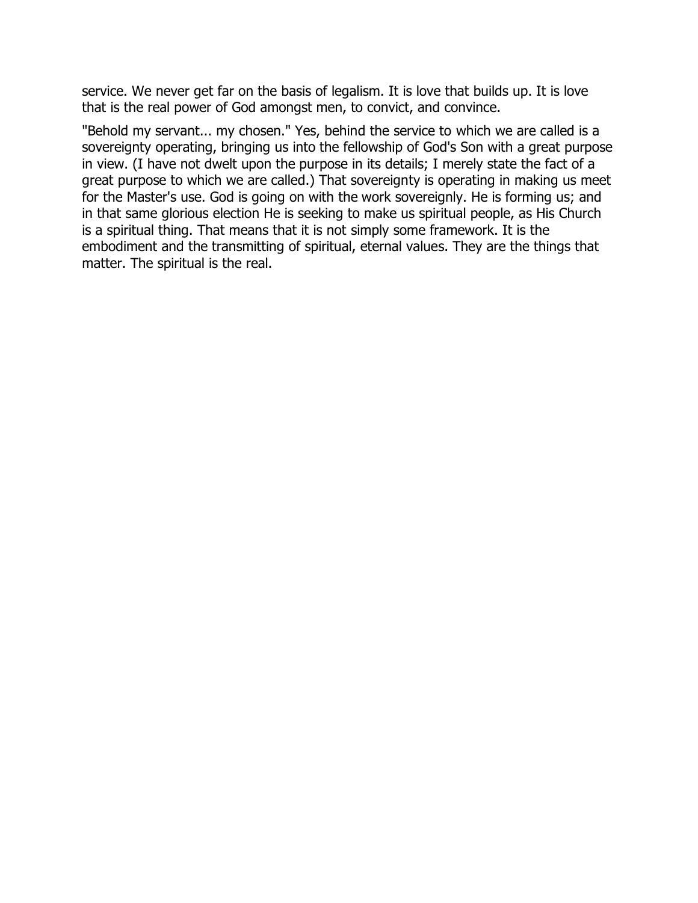service. We never get far on the basis of legalism. It is love that builds up. It is love that is the real power of God amongst men, to convict, and convince.

"Behold my servant... my chosen." Yes, behind the service to which we are called is a sovereignty operating, bringing us into the fellowship of God's Son with a great purpose in view. (I have not dwelt upon the purpose in its details; I merely state the fact of a great purpose to which we are called.) That sovereignty is operating in making us meet for the Master's use. God is going on with the work sovereignly. He is forming us; and in that same glorious election He is seeking to make us spiritual people, as His Church is a spiritual thing. That means that it is not simply some framework. It is the embodiment and the transmitting of spiritual, eternal values. They are the things that matter. The spiritual is the real.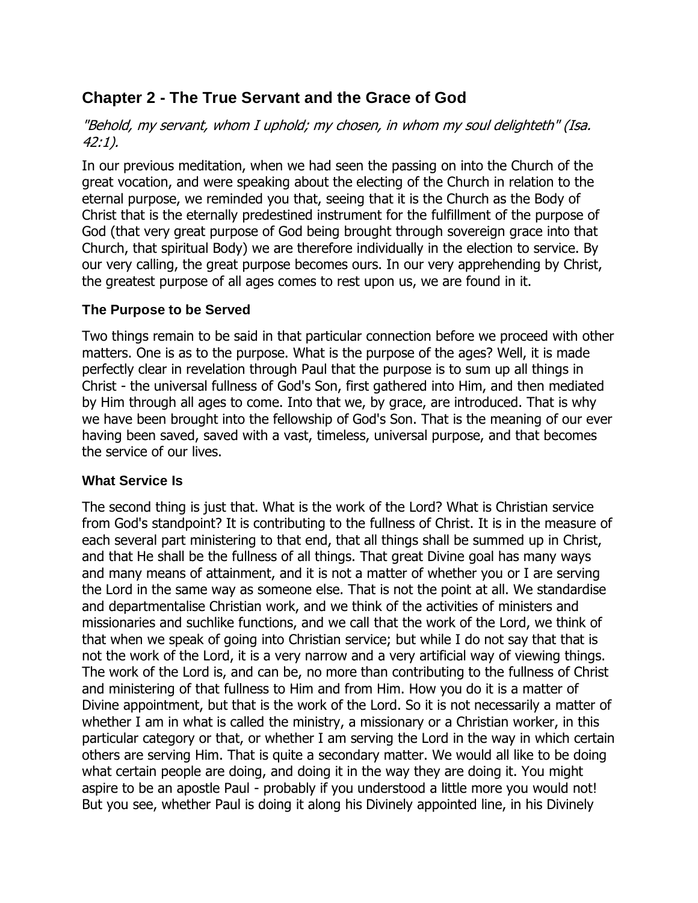# <span id="page-8-0"></span>**Chapter 2 - The True Servant and the Grace of God**

"Behold, my servant, whom I uphold; my chosen, in whom my soul delighteth" (Isa. 42:1).

In our previous meditation, when we had seen the passing on into the Church of the great vocation, and were speaking about the electing of the Church in relation to the eternal purpose, we reminded you that, seeing that it is the Church as the Body of Christ that is the eternally predestined instrument for the fulfillment of the purpose of God (that very great purpose of God being brought through sovereign grace into that Church, that spiritual Body) we are therefore individually in the election to service. By our very calling, the great purpose becomes ours. In our very apprehending by Christ, the greatest purpose of all ages comes to rest upon us, we are found in it.

#### <span id="page-8-1"></span>**The Purpose to be Served**

Two things remain to be said in that particular connection before we proceed with other matters. One is as to the purpose. What is the purpose of the ages? Well, it is made perfectly clear in revelation through Paul that the purpose is to sum up all things in Christ - the universal fullness of God's Son, first gathered into Him, and then mediated by Him through all ages to come. Into that we, by grace, are introduced. That is why we have been brought into the fellowship of God's Son. That is the meaning of our ever having been saved, saved with a vast, timeless, universal purpose, and that becomes the service of our lives.

#### <span id="page-8-2"></span>**What Service Is**

The second thing is just that. What is the work of the Lord? What is Christian service from God's standpoint? It is contributing to the fullness of Christ. It is in the measure of each several part ministering to that end, that all things shall be summed up in Christ, and that He shall be the fullness of all things. That great Divine goal has many ways and many means of attainment, and it is not a matter of whether you or I are serving the Lord in the same way as someone else. That is not the point at all. We standardise and departmentalise Christian work, and we think of the activities of ministers and missionaries and suchlike functions, and we call that the work of the Lord, we think of that when we speak of going into Christian service; but while I do not say that that is not the work of the Lord, it is a very narrow and a very artificial way of viewing things. The work of the Lord is, and can be, no more than contributing to the fullness of Christ and ministering of that fullness to Him and from Him. How you do it is a matter of Divine appointment, but that is the work of the Lord. So it is not necessarily a matter of whether I am in what is called the ministry, a missionary or a Christian worker, in this particular category or that, or whether I am serving the Lord in the way in which certain others are serving Him. That is quite a secondary matter. We would all like to be doing what certain people are doing, and doing it in the way they are doing it. You might aspire to be an apostle Paul - probably if you understood a little more you would not! But you see, whether Paul is doing it along his Divinely appointed line, in his Divinely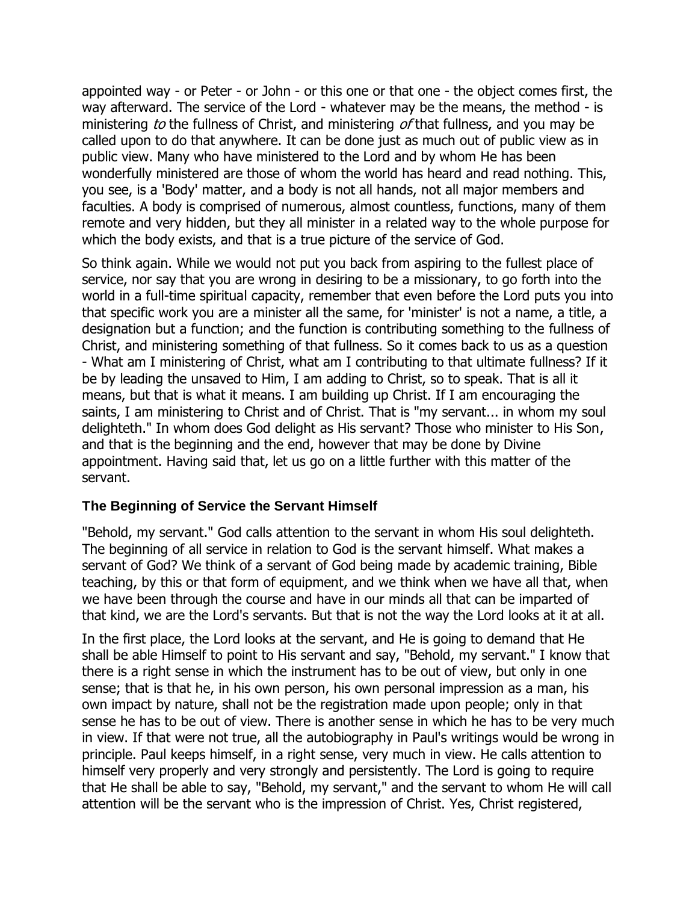appointed way - or Peter - or John - or this one or that one - the object comes first, the way afterward. The service of the Lord - whatever may be the means, the method - is ministering to the fullness of Christ, and ministering of that fullness, and you may be called upon to do that anywhere. It can be done just as much out of public view as in public view. Many who have ministered to the Lord and by whom He has been wonderfully ministered are those of whom the world has heard and read nothing. This, you see, is a 'Body' matter, and a body is not all hands, not all major members and faculties. A body is comprised of numerous, almost countless, functions, many of them remote and very hidden, but they all minister in a related way to the whole purpose for which the body exists, and that is a true picture of the service of God.

So think again. While we would not put you back from aspiring to the fullest place of service, nor say that you are wrong in desiring to be a missionary, to go forth into the world in a full-time spiritual capacity, remember that even before the Lord puts you into that specific work you are a minister all the same, for 'minister' is not a name, a title, a designation but a function; and the function is contributing something to the fullness of Christ, and ministering something of that fullness. So it comes back to us as a question - What am I ministering of Christ, what am I contributing to that ultimate fullness? If it be by leading the unsaved to Him, I am adding to Christ, so to speak. That is all it means, but that is what it means. I am building up Christ. If I am encouraging the saints, I am ministering to Christ and of Christ. That is "my servant... in whom my soul delighteth." In whom does God delight as His servant? Those who minister to His Son, and that is the beginning and the end, however that may be done by Divine appointment. Having said that, let us go on a little further with this matter of the servant.

#### <span id="page-9-0"></span>**The Beginning of Service the Servant Himself**

"Behold, my servant." God calls attention to the servant in whom His soul delighteth. The beginning of all service in relation to God is the servant himself. What makes a servant of God? We think of a servant of God being made by academic training, Bible teaching, by this or that form of equipment, and we think when we have all that, when we have been through the course and have in our minds all that can be imparted of that kind, we are the Lord's servants. But that is not the way the Lord looks at it at all.

In the first place, the Lord looks at the servant, and He is going to demand that He shall be able Himself to point to His servant and say, "Behold, my servant." I know that there is a right sense in which the instrument has to be out of view, but only in one sense; that is that he, in his own person, his own personal impression as a man, his own impact by nature, shall not be the registration made upon people; only in that sense he has to be out of view. There is another sense in which he has to be very much in view. If that were not true, all the autobiography in Paul's writings would be wrong in principle. Paul keeps himself, in a right sense, very much in view. He calls attention to himself very properly and very strongly and persistently. The Lord is going to require that He shall be able to say, "Behold, my servant," and the servant to whom He will call attention will be the servant who is the impression of Christ. Yes, Christ registered,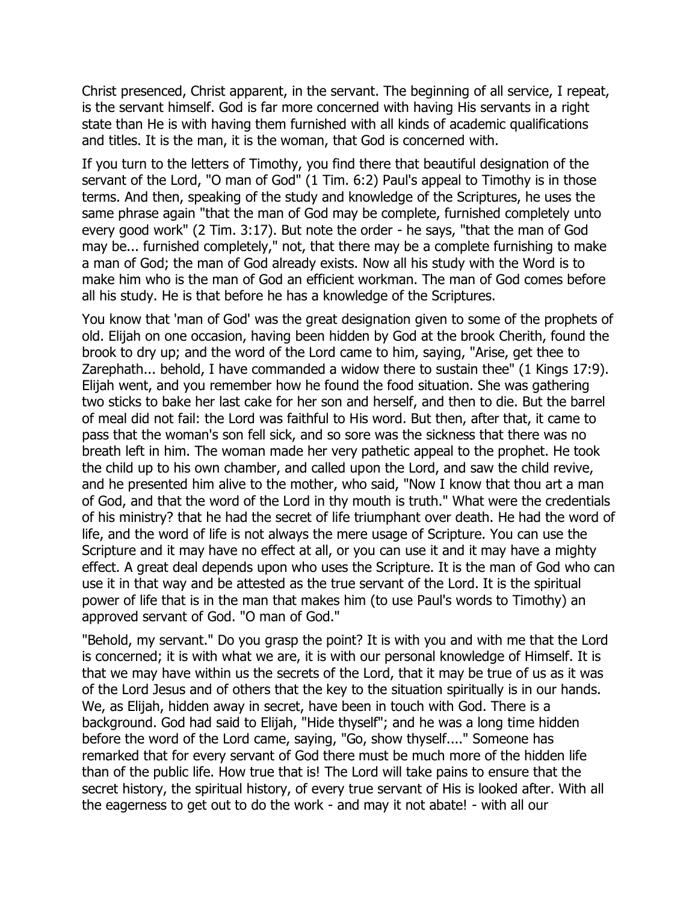Christ presenced, Christ apparent, in the servant. The beginning of all service, I repeat, is the servant himself. God is far more concerned with having His servants in a right state than He is with having them furnished with all kinds of academic qualifications and titles. It is the man, it is the woman, that God is concerned with.

If you turn to the letters of Timothy, you find there that beautiful designation of the servant of the Lord, "O man of God" (1 Tim. 6:2) Paul's appeal to Timothy is in those terms. And then, speaking of the study and knowledge of the Scriptures, he uses the same phrase again "that the man of God may be complete, furnished completely unto every good work" (2 Tim. 3:17). But note the order - he says, "that the man of God may be... furnished completely," not, that there may be a complete furnishing to make a man of God; the man of God already exists. Now all his study with the Word is to make him who is the man of God an efficient workman. The man of God comes before all his study. He is that before he has a knowledge of the Scriptures.

You know that 'man of God' was the great designation given to some of the prophets of old. Elijah on one occasion, having been hidden by God at the brook Cherith, found the brook to dry up; and the word of the Lord came to him, saying, "Arise, get thee to Zarephath... behold, I have commanded a widow there to sustain thee" (1 Kings 17:9). Elijah went, and you remember how he found the food situation. She was gathering two sticks to bake her last cake for her son and herself, and then to die. But the barrel of meal did not fail: the Lord was faithful to His word. But then, after that, it came to pass that the woman's son fell sick, and so sore was the sickness that there was no breath left in him. The woman made her very pathetic appeal to the prophet. He took the child up to his own chamber, and called upon the Lord, and saw the child revive, and he presented him alive to the mother, who said, "Now I know that thou art a man of God, and that the word of the Lord in thy mouth is truth." What were the credentials of his ministry? that he had the secret of life triumphant over death. He had the word of life, and the word of life is not always the mere usage of Scripture. You can use the Scripture and it may have no effect at all, or you can use it and it may have a mighty effect. A great deal depends upon who uses the Scripture. It is the man of God who can use it in that way and be attested as the true servant of the Lord. It is the spiritual power of life that is in the man that makes him (to use Paul's words to Timothy) an approved servant of God. "O man of God."

"Behold, my servant." Do you grasp the point? It is with you and with me that the Lord is concerned; it is with what we are, it is with our personal knowledge of Himself. It is that we may have within us the secrets of the Lord, that it may be true of us as it was of the Lord Jesus and of others that the key to the situation spiritually is in our hands. We, as Elijah, hidden away in secret, have been in touch with God. There is a background. God had said to Elijah, "Hide thyself"; and he was a long time hidden before the word of the Lord came, saying, "Go, show thyself...." Someone has remarked that for every servant of God there must be much more of the hidden life than of the public life. How true that is! The Lord will take pains to ensure that the secret history, the spiritual history, of every true servant of His is looked after. With all the eagerness to get out to do the work - and may it not abate! - with all our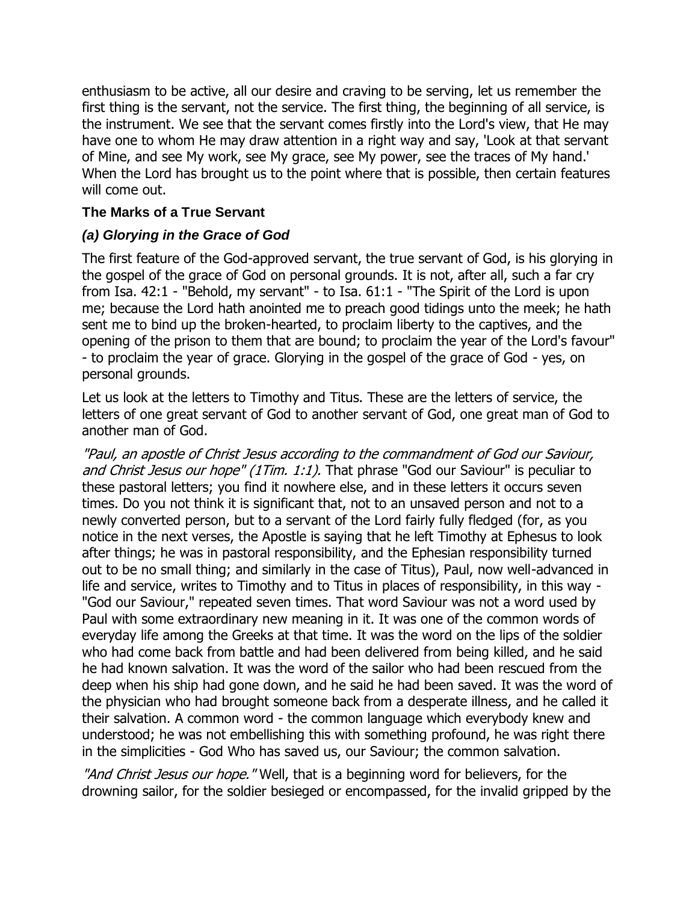enthusiasm to be active, all our desire and craving to be serving, let us remember the first thing is the servant, not the service. The first thing, the beginning of all service, is the instrument. We see that the servant comes firstly into the Lord's view, that He may have one to whom He may draw attention in a right way and say, 'Look at that servant of Mine, and see My work, see My grace, see My power, see the traces of My hand.' When the Lord has brought us to the point where that is possible, then certain features will come out.

#### <span id="page-11-0"></span>**The Marks of a True Servant**

#### <span id="page-11-1"></span>*(a) Glorying in the Grace of God*

The first feature of the God-approved servant, the true servant of God, is his glorying in the gospel of the grace of God on personal grounds. It is not, after all, such a far cry from Isa. 42:1 - "Behold, my servant" - to Isa. 61:1 - "The Spirit of the Lord is upon me; because the Lord hath anointed me to preach good tidings unto the meek; he hath sent me to bind up the broken-hearted, to proclaim liberty to the captives, and the opening of the prison to them that are bound; to proclaim the year of the Lord's favour" - to proclaim the year of grace. Glorying in the gospel of the grace of God - yes, on personal grounds.

Let us look at the letters to Timothy and Titus. These are the letters of service, the letters of one great servant of God to another servant of God, one great man of God to another man of God.

"Paul, an apostle of Christ Jesus according to the commandment of God our Saviour, and Christ Jesus our hope" (1Tim. 1:1). That phrase "God our Saviour" is peculiar to these pastoral letters; you find it nowhere else, and in these letters it occurs seven times. Do you not think it is significant that, not to an unsaved person and not to a newly converted person, but to a servant of the Lord fairly fully fledged (for, as you notice in the next verses, the Apostle is saying that he left Timothy at Ephesus to look after things; he was in pastoral responsibility, and the Ephesian responsibility turned out to be no small thing; and similarly in the case of Titus), Paul, now well-advanced in life and service, writes to Timothy and to Titus in places of responsibility, in this way - "God our Saviour," repeated seven times. That word Saviour was not a word used by Paul with some extraordinary new meaning in it. It was one of the common words of everyday life among the Greeks at that time. It was the word on the lips of the soldier who had come back from battle and had been delivered from being killed, and he said he had known salvation. It was the word of the sailor who had been rescued from the deep when his ship had gone down, and he said he had been saved. It was the word of the physician who had brought someone back from a desperate illness, and he called it their salvation. A common word - the common language which everybody knew and understood; he was not embellishing this with something profound, he was right there in the simplicities - God Who has saved us, our Saviour; the common salvation.

"And Christ Jesus our hope." Well, that is a beginning word for believers, for the drowning sailor, for the soldier besieged or encompassed, for the invalid gripped by the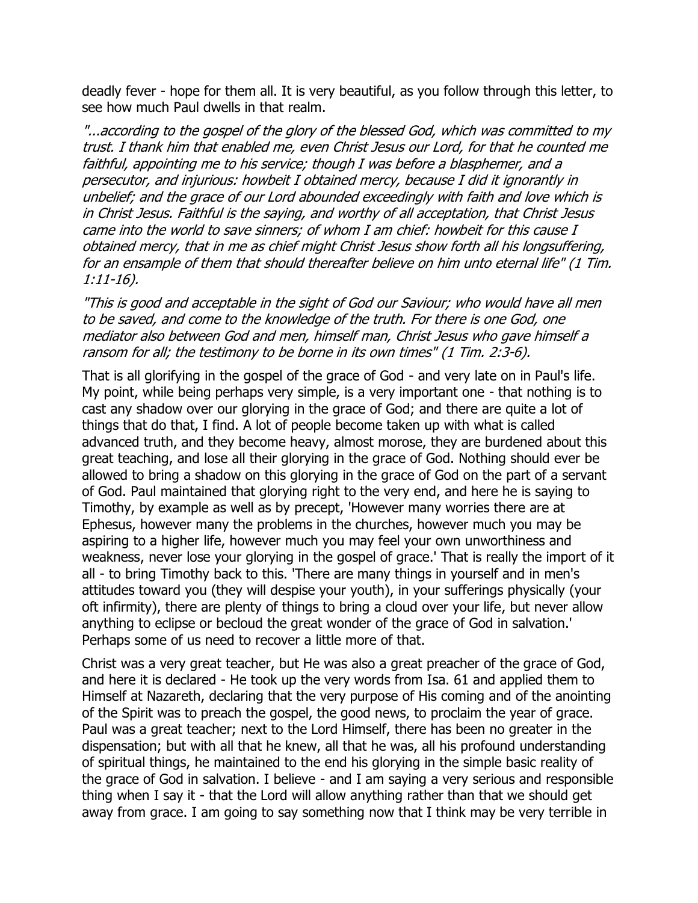deadly fever - hope for them all. It is very beautiful, as you follow through this letter, to see how much Paul dwells in that realm.

"...according to the gospel of the glory of the blessed God, which was committed to my trust. I thank him that enabled me, even Christ Jesus our Lord, for that he counted me faithful, appointing me to his service; though I was before a blasphemer, and a persecutor, and injurious: howbeit I obtained mercy, because I did it ignorantly in unbelief; and the grace of our Lord abounded exceedingly with faith and love which is in Christ Jesus. Faithful is the saying, and worthy of all acceptation, that Christ Jesus came into the world to save sinners; of whom I am chief: howbeit for this cause I obtained mercy, that in me as chief might Christ Jesus show forth all his longsuffering, for an ensample of them that should thereafter believe on him unto eternal life" (1 Tim. 1:11-16).

"This is good and acceptable in the sight of God our Saviour; who would have all men to be saved, and come to the knowledge of the truth. For there is one God, one mediator also between God and men, himself man, Christ Jesus who gave himself a ransom for all; the testimony to be borne in its own times" (1 Tim. 2:3-6).

That is all glorifying in the gospel of the grace of God - and very late on in Paul's life. My point, while being perhaps very simple, is a very important one - that nothing is to cast any shadow over our glorying in the grace of God; and there are quite a lot of things that do that, I find. A lot of people become taken up with what is called advanced truth, and they become heavy, almost morose, they are burdened about this great teaching, and lose all their glorying in the grace of God. Nothing should ever be allowed to bring a shadow on this glorying in the grace of God on the part of a servant of God. Paul maintained that glorying right to the very end, and here he is saying to Timothy, by example as well as by precept, 'However many worries there are at Ephesus, however many the problems in the churches, however much you may be aspiring to a higher life, however much you may feel your own unworthiness and weakness, never lose your glorying in the gospel of grace.' That is really the import of it all - to bring Timothy back to this. 'There are many things in yourself and in men's attitudes toward you (they will despise your youth), in your sufferings physically (your oft infirmity), there are plenty of things to bring a cloud over your life, but never allow anything to eclipse or becloud the great wonder of the grace of God in salvation.' Perhaps some of us need to recover a little more of that.

Christ was a very great teacher, but He was also a great preacher of the grace of God, and here it is declared - He took up the very words from Isa. 61 and applied them to Himself at Nazareth, declaring that the very purpose of His coming and of the anointing of the Spirit was to preach the gospel, the good news, to proclaim the year of grace. Paul was a great teacher; next to the Lord Himself, there has been no greater in the dispensation; but with all that he knew, all that he was, all his profound understanding of spiritual things, he maintained to the end his glorying in the simple basic reality of the grace of God in salvation. I believe - and I am saying a very serious and responsible thing when I say it - that the Lord will allow anything rather than that we should get away from grace. I am going to say something now that I think may be very terrible in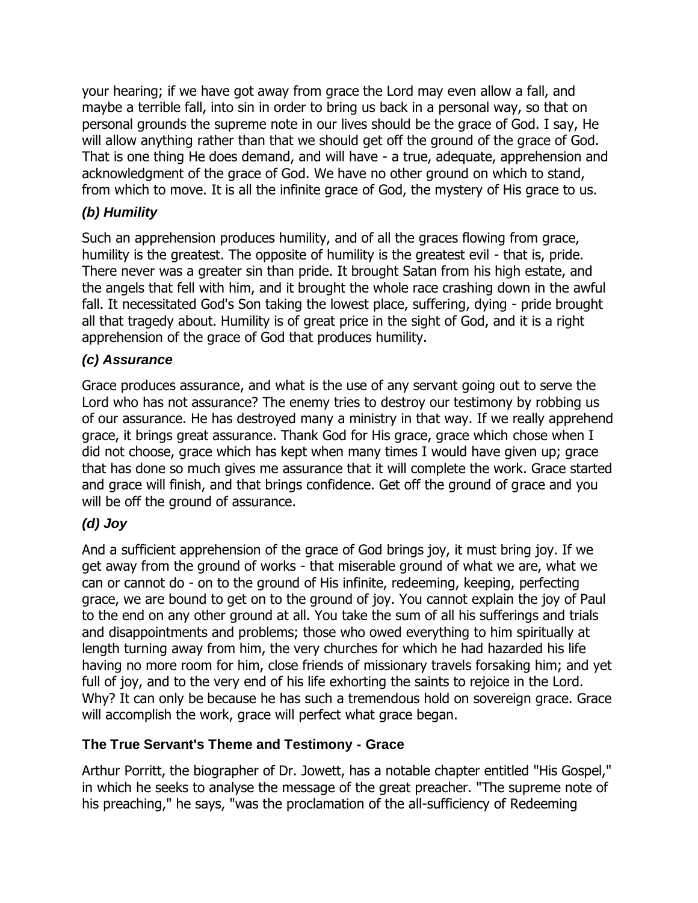your hearing; if we have got away from grace the Lord may even allow a fall, and maybe a terrible fall, into sin in order to bring us back in a personal way, so that on personal grounds the supreme note in our lives should be the grace of God. I say, He will allow anything rather than that we should get off the ground of the grace of God. That is one thing He does demand, and will have - a true, adequate, apprehension and acknowledgment of the grace of God. We have no other ground on which to stand, from which to move. It is all the infinite grace of God, the mystery of His grace to us.

## <span id="page-13-0"></span>*(b) Humility*

Such an apprehension produces humility, and of all the graces flowing from grace, humility is the greatest. The opposite of humility is the greatest evil - that is, pride. There never was a greater sin than pride. It brought Satan from his high estate, and the angels that fell with him, and it brought the whole race crashing down in the awful fall. It necessitated God's Son taking the lowest place, suffering, dying - pride brought all that tragedy about. Humility is of great price in the sight of God, and it is a right apprehension of the grace of God that produces humility.

## <span id="page-13-1"></span>*(c) Assurance*

Grace produces assurance, and what is the use of any servant going out to serve the Lord who has not assurance? The enemy tries to destroy our testimony by robbing us of our assurance. He has destroyed many a ministry in that way. If we really apprehend grace, it brings great assurance. Thank God for His grace, grace which chose when I did not choose, grace which has kept when many times I would have given up; grace that has done so much gives me assurance that it will complete the work. Grace started and grace will finish, and that brings confidence. Get off the ground of grace and you will be off the ground of assurance.

#### <span id="page-13-2"></span>*(d) Joy*

And a sufficient apprehension of the grace of God brings joy, it must bring joy. If we get away from the ground of works - that miserable ground of what we are, what we can or cannot do - on to the ground of His infinite, redeeming, keeping, perfecting grace, we are bound to get on to the ground of joy. You cannot explain the joy of Paul to the end on any other ground at all. You take the sum of all his sufferings and trials and disappointments and problems; those who owed everything to him spiritually at length turning away from him, the very churches for which he had hazarded his life having no more room for him, close friends of missionary travels forsaking him; and yet full of joy, and to the very end of his life exhorting the saints to rejoice in the Lord. Why? It can only be because he has such a tremendous hold on sovereign grace. Grace will accomplish the work, grace will perfect what grace began.

#### <span id="page-13-3"></span>**The True Servant's Theme and Testimony - Grace**

Arthur Porritt, the biographer of Dr. Jowett, has a notable chapter entitled "His Gospel," in which he seeks to analyse the message of the great preacher. "The supreme note of his preaching," he says, "was the proclamation of the all-sufficiency of Redeeming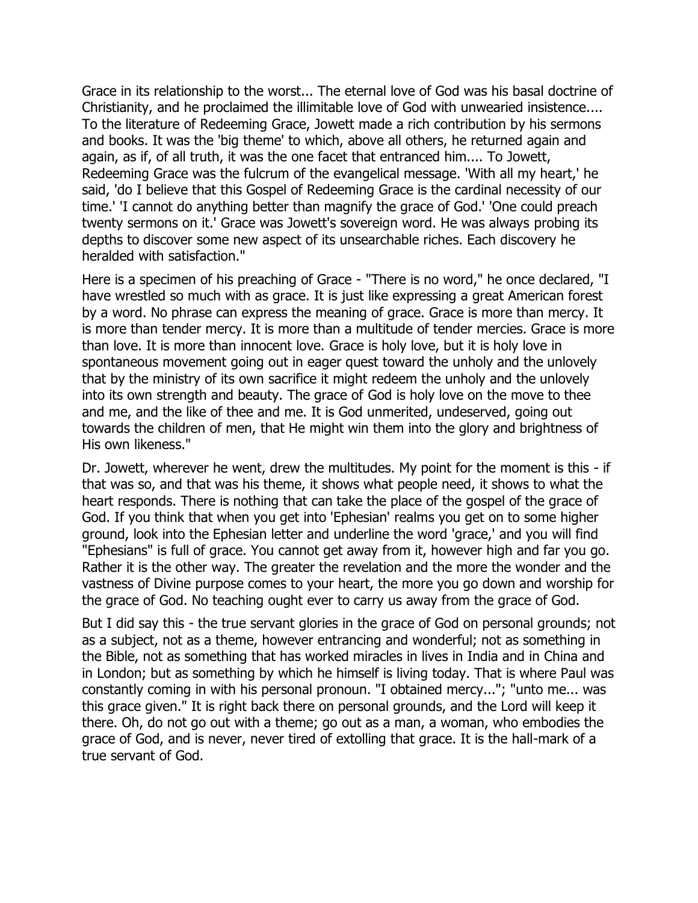Grace in its relationship to the worst... The eternal love of God was his basal doctrine of Christianity, and he proclaimed the illimitable love of God with unwearied insistence.... To the literature of Redeeming Grace, Jowett made a rich contribution by his sermons and books. It was the 'big theme' to which, above all others, he returned again and again, as if, of all truth, it was the one facet that entranced him.... To Jowett, Redeeming Grace was the fulcrum of the evangelical message. 'With all my heart,' he said, 'do I believe that this Gospel of Redeeming Grace is the cardinal necessity of our time.' 'I cannot do anything better than magnify the grace of God.' 'One could preach twenty sermons on it.' Grace was Jowett's sovereign word. He was always probing its depths to discover some new aspect of its unsearchable riches. Each discovery he heralded with satisfaction."

Here is a specimen of his preaching of Grace - "There is no word," he once declared, "I have wrestled so much with as grace. It is just like expressing a great American forest by a word. No phrase can express the meaning of grace. Grace is more than mercy. It is more than tender mercy. It is more than a multitude of tender mercies. Grace is more than love. It is more than innocent love. Grace is holy love, but it is holy love in spontaneous movement going out in eager quest toward the unholy and the unlovely that by the ministry of its own sacrifice it might redeem the unholy and the unlovely into its own strength and beauty. The grace of God is holy love on the move to thee and me, and the like of thee and me. It is God unmerited, undeserved, going out towards the children of men, that He might win them into the glory and brightness of His own likeness."

Dr. Jowett, wherever he went, drew the multitudes. My point for the moment is this - if that was so, and that was his theme, it shows what people need, it shows to what the heart responds. There is nothing that can take the place of the gospel of the grace of God. If you think that when you get into 'Ephesian' realms you get on to some higher ground, look into the Ephesian letter and underline the word 'grace,' and you will find "Ephesians" is full of grace. You cannot get away from it, however high and far you go. Rather it is the other way. The greater the revelation and the more the wonder and the vastness of Divine purpose comes to your heart, the more you go down and worship for the grace of God. No teaching ought ever to carry us away from the grace of God.

But I did say this - the true servant glories in the grace of God on personal grounds; not as a subject, not as a theme, however entrancing and wonderful; not as something in the Bible, not as something that has worked miracles in lives in India and in China and in London; but as something by which he himself is living today. That is where Paul was constantly coming in with his personal pronoun. "I obtained mercy..."; "unto me... was this grace given." It is right back there on personal grounds, and the Lord will keep it there. Oh, do not go out with a theme; go out as a man, a woman, who embodies the grace of God, and is never, never tired of extolling that grace. It is the hall-mark of a true servant of God.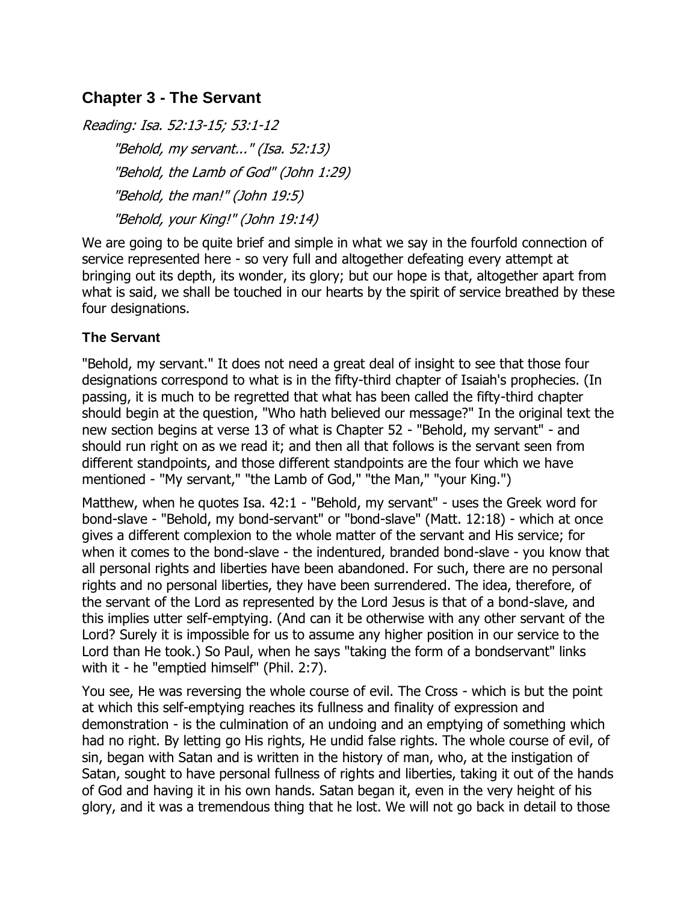# <span id="page-15-0"></span>**Chapter 3 - The Servant**

Reading: Isa. 52:13-15; 53:1-12 "Behold, my servant..." (Isa. 52:13) "Behold, the Lamb of God" (John 1:29) "Behold, the man!" (John 19:5) "Behold, your King!" (John 19:14)

We are going to be quite brief and simple in what we say in the fourfold connection of service represented here - so very full and altogether defeating every attempt at bringing out its depth, its wonder, its glory; but our hope is that, altogether apart from what is said, we shall be touched in our hearts by the spirit of service breathed by these four designations.

## <span id="page-15-1"></span>**The Servant**

"Behold, my servant." It does not need a great deal of insight to see that those four designations correspond to what is in the fifty-third chapter of Isaiah's prophecies. (In passing, it is much to be regretted that what has been called the fifty-third chapter should begin at the question, "Who hath believed our message?" In the original text the new section begins at verse 13 of what is Chapter 52 - "Behold, my servant" - and should run right on as we read it; and then all that follows is the servant seen from different standpoints, and those different standpoints are the four which we have mentioned - "My servant," "the Lamb of God," "the Man," "your King.")

Matthew, when he quotes Isa. 42:1 - "Behold, my servant" - uses the Greek word for bond-slave - "Behold, my bond-servant" or "bond-slave" (Matt. 12:18) - which at once gives a different complexion to the whole matter of the servant and His service; for when it comes to the bond-slave - the indentured, branded bond-slave - you know that all personal rights and liberties have been abandoned. For such, there are no personal rights and no personal liberties, they have been surrendered. The idea, therefore, of the servant of the Lord as represented by the Lord Jesus is that of a bond-slave, and this implies utter self-emptying. (And can it be otherwise with any other servant of the Lord? Surely it is impossible for us to assume any higher position in our service to the Lord than He took.) So Paul, when he says "taking the form of a bondservant" links with it - he "emptied himself" (Phil. 2:7).

You see, He was reversing the whole course of evil. The Cross - which is but the point at which this self-emptying reaches its fullness and finality of expression and demonstration - is the culmination of an undoing and an emptying of something which had no right. By letting go His rights, He undid false rights. The whole course of evil, of sin, began with Satan and is written in the history of man, who, at the instigation of Satan, sought to have personal fullness of rights and liberties, taking it out of the hands of God and having it in his own hands. Satan began it, even in the very height of his glory, and it was a tremendous thing that he lost. We will not go back in detail to those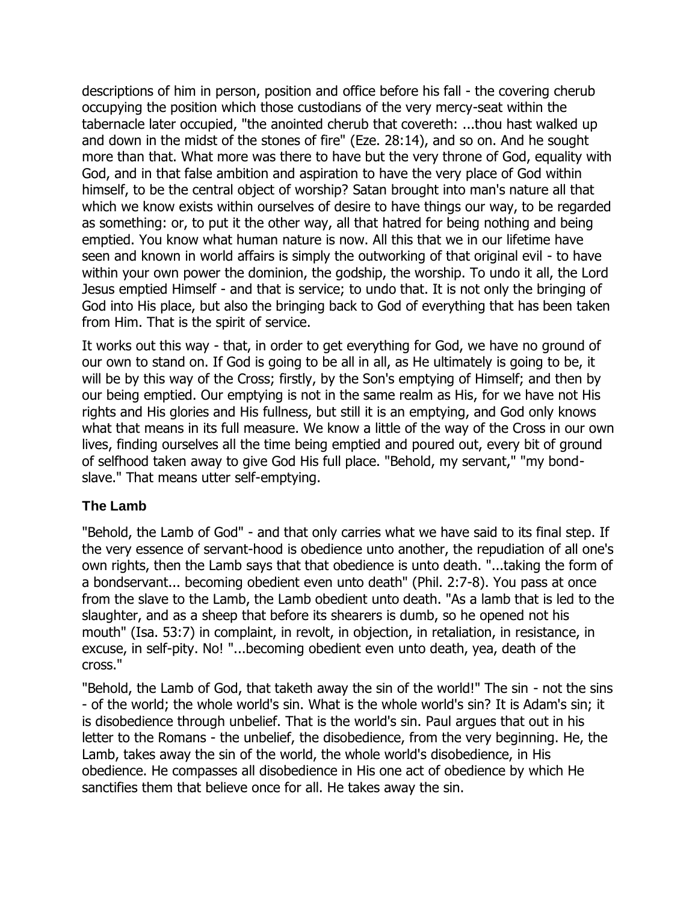descriptions of him in person, position and office before his fall - the covering cherub occupying the position which those custodians of the very mercy-seat within the tabernacle later occupied, "the anointed cherub that covereth: ...thou hast walked up and down in the midst of the stones of fire" (Eze. 28:14), and so on. And he sought more than that. What more was there to have but the very throne of God, equality with God, and in that false ambition and aspiration to have the very place of God within himself, to be the central object of worship? Satan brought into man's nature all that which we know exists within ourselves of desire to have things our way, to be regarded as something: or, to put it the other way, all that hatred for being nothing and being emptied. You know what human nature is now. All this that we in our lifetime have seen and known in world affairs is simply the outworking of that original evil - to have within your own power the dominion, the godship, the worship. To undo it all, the Lord Jesus emptied Himself - and that is service; to undo that. It is not only the bringing of God into His place, but also the bringing back to God of everything that has been taken from Him. That is the spirit of service.

It works out this way - that, in order to get everything for God, we have no ground of our own to stand on. If God is going to be all in all, as He ultimately is going to be, it will be by this way of the Cross; firstly, by the Son's emptying of Himself; and then by our being emptied. Our emptying is not in the same realm as His, for we have not His rights and His glories and His fullness, but still it is an emptying, and God only knows what that means in its full measure. We know a little of the way of the Cross in our own lives, finding ourselves all the time being emptied and poured out, every bit of ground of selfhood taken away to give God His full place. "Behold, my servant," "my bondslave." That means utter self-emptying.

#### <span id="page-16-0"></span>**The Lamb**

"Behold, the Lamb of God" - and that only carries what we have said to its final step. If the very essence of servant-hood is obedience unto another, the repudiation of all one's own rights, then the Lamb says that that obedience is unto death. "...taking the form of a bondservant... becoming obedient even unto death" (Phil. 2:7-8). You pass at once from the slave to the Lamb, the Lamb obedient unto death. "As a lamb that is led to the slaughter, and as a sheep that before its shearers is dumb, so he opened not his mouth" (Isa. 53:7) in complaint, in revolt, in objection, in retaliation, in resistance, in excuse, in self-pity. No! "...becoming obedient even unto death, yea, death of the cross."

"Behold, the Lamb of God, that taketh away the sin of the world!" The sin - not the sins - of the world; the whole world's sin. What is the whole world's sin? It is Adam's sin; it is disobedience through unbelief. That is the world's sin. Paul argues that out in his letter to the Romans - the unbelief, the disobedience, from the very beginning. He, the Lamb, takes away the sin of the world, the whole world's disobedience, in His obedience. He compasses all disobedience in His one act of obedience by which He sanctifies them that believe once for all. He takes away the sin.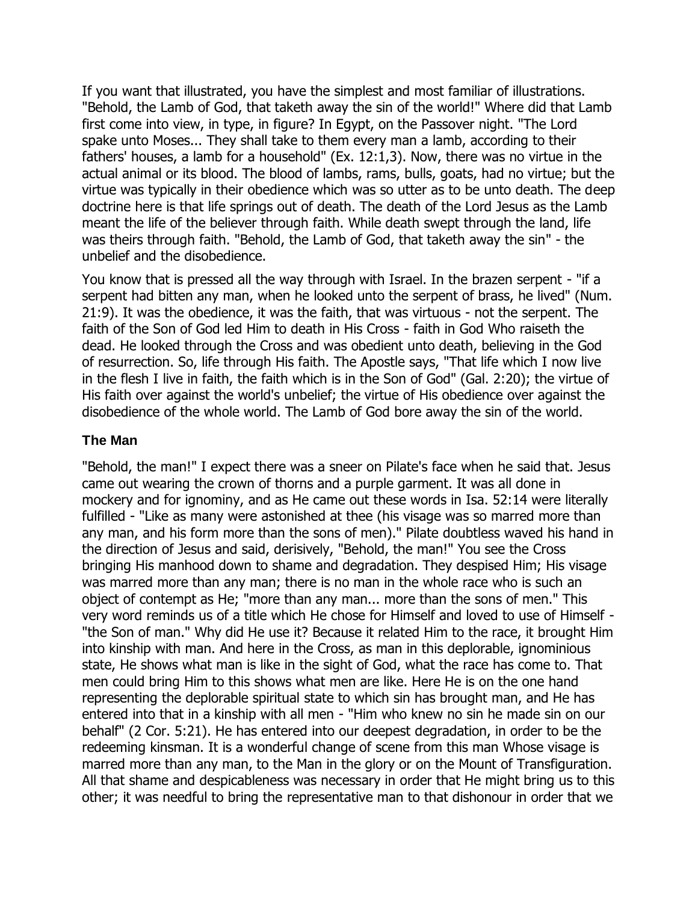If you want that illustrated, you have the simplest and most familiar of illustrations. "Behold, the Lamb of God, that taketh away the sin of the world!" Where did that Lamb first come into view, in type, in figure? In Egypt, on the Passover night. "The Lord spake unto Moses... They shall take to them every man a lamb, according to their fathers' houses, a lamb for a household" (Ex. 12:1,3). Now, there was no virtue in the actual animal or its blood. The blood of lambs, rams, bulls, goats, had no virtue; but the virtue was typically in their obedience which was so utter as to be unto death. The deep doctrine here is that life springs out of death. The death of the Lord Jesus as the Lamb meant the life of the believer through faith. While death swept through the land, life was theirs through faith. "Behold, the Lamb of God, that taketh away the sin" - the unbelief and the disobedience.

You know that is pressed all the way through with Israel. In the brazen serpent - "if a serpent had bitten any man, when he looked unto the serpent of brass, he lived" (Num. 21:9). It was the obedience, it was the faith, that was virtuous - not the serpent. The faith of the Son of God led Him to death in His Cross - faith in God Who raiseth the dead. He looked through the Cross and was obedient unto death, believing in the God of resurrection. So, life through His faith. The Apostle says, "That life which I now live in the flesh I live in faith, the faith which is in the Son of God" (Gal. 2:20); the virtue of His faith over against the world's unbelief; the virtue of His obedience over against the disobedience of the whole world. The Lamb of God bore away the sin of the world.

#### <span id="page-17-0"></span>**The Man**

"Behold, the man!" I expect there was a sneer on Pilate's face when he said that. Jesus came out wearing the crown of thorns and a purple garment. It was all done in mockery and for ignominy, and as He came out these words in Isa. 52:14 were literally fulfilled - "Like as many were astonished at thee (his visage was so marred more than any man, and his form more than the sons of men)." Pilate doubtless waved his hand in the direction of Jesus and said, derisively, "Behold, the man!" You see the Cross bringing His manhood down to shame and degradation. They despised Him; His visage was marred more than any man; there is no man in the whole race who is such an object of contempt as He; "more than any man... more than the sons of men." This very word reminds us of a title which He chose for Himself and loved to use of Himself - "the Son of man." Why did He use it? Because it related Him to the race, it brought Him into kinship with man. And here in the Cross, as man in this deplorable, ignominious state, He shows what man is like in the sight of God, what the race has come to. That men could bring Him to this shows what men are like. Here He is on the one hand representing the deplorable spiritual state to which sin has brought man, and He has entered into that in a kinship with all men - "Him who knew no sin he made sin on our behalf" (2 Cor. 5:21). He has entered into our deepest degradation, in order to be the redeeming kinsman. It is a wonderful change of scene from this man Whose visage is marred more than any man, to the Man in the glory or on the Mount of Transfiguration. All that shame and despicableness was necessary in order that He might bring us to this other; it was needful to bring the representative man to that dishonour in order that we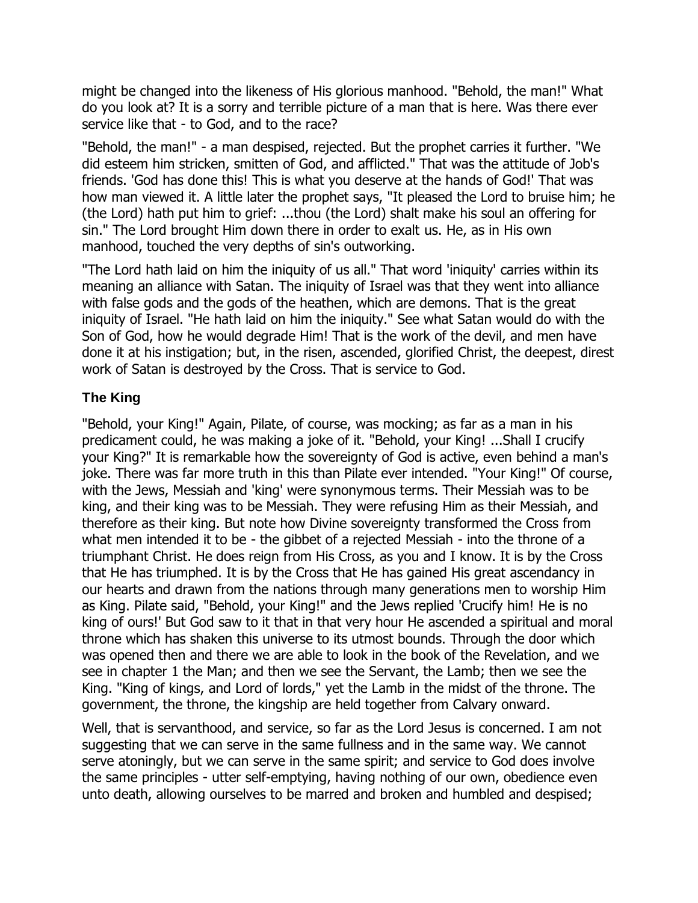might be changed into the likeness of His glorious manhood. "Behold, the man!" What do you look at? It is a sorry and terrible picture of a man that is here. Was there ever service like that - to God, and to the race?

"Behold, the man!" - a man despised, rejected. But the prophet carries it further. "We did esteem him stricken, smitten of God, and afflicted." That was the attitude of Job's friends. 'God has done this! This is what you deserve at the hands of God!' That was how man viewed it. A little later the prophet says, "It pleased the Lord to bruise him; he (the Lord) hath put him to grief: ...thou (the Lord) shalt make his soul an offering for sin." The Lord brought Him down there in order to exalt us. He, as in His own manhood, touched the very depths of sin's outworking.

"The Lord hath laid on him the iniquity of us all." That word 'iniquity' carries within its meaning an alliance with Satan. The iniquity of Israel was that they went into alliance with false gods and the gods of the heathen, which are demons. That is the great iniquity of Israel. "He hath laid on him the iniquity." See what Satan would do with the Son of God, how he would degrade Him! That is the work of the devil, and men have done it at his instigation; but, in the risen, ascended, glorified Christ, the deepest, direst work of Satan is destroyed by the Cross. That is service to God.

## <span id="page-18-0"></span>**The King**

"Behold, your King!" Again, Pilate, of course, was mocking; as far as a man in his predicament could, he was making a joke of it. "Behold, your King! ...Shall I crucify your King?" It is remarkable how the sovereignty of God is active, even behind a man's joke. There was far more truth in this than Pilate ever intended. "Your King!" Of course, with the Jews, Messiah and 'king' were synonymous terms. Their Messiah was to be king, and their king was to be Messiah. They were refusing Him as their Messiah, and therefore as their king. But note how Divine sovereignty transformed the Cross from what men intended it to be - the gibbet of a rejected Messiah - into the throne of a triumphant Christ. He does reign from His Cross, as you and I know. It is by the Cross that He has triumphed. It is by the Cross that He has gained His great ascendancy in our hearts and drawn from the nations through many generations men to worship Him as King. Pilate said, "Behold, your King!" and the Jews replied 'Crucify him! He is no king of ours!' But God saw to it that in that very hour He ascended a spiritual and moral throne which has shaken this universe to its utmost bounds. Through the door which was opened then and there we are able to look in the book of the Revelation, and we see in chapter 1 the Man; and then we see the Servant, the Lamb; then we see the King. "King of kings, and Lord of lords," yet the Lamb in the midst of the throne. The government, the throne, the kingship are held together from Calvary onward.

Well, that is servanthood, and service, so far as the Lord Jesus is concerned. I am not suggesting that we can serve in the same fullness and in the same way. We cannot serve atoningly, but we can serve in the same spirit; and service to God does involve the same principles - utter self-emptying, having nothing of our own, obedience even unto death, allowing ourselves to be marred and broken and humbled and despised;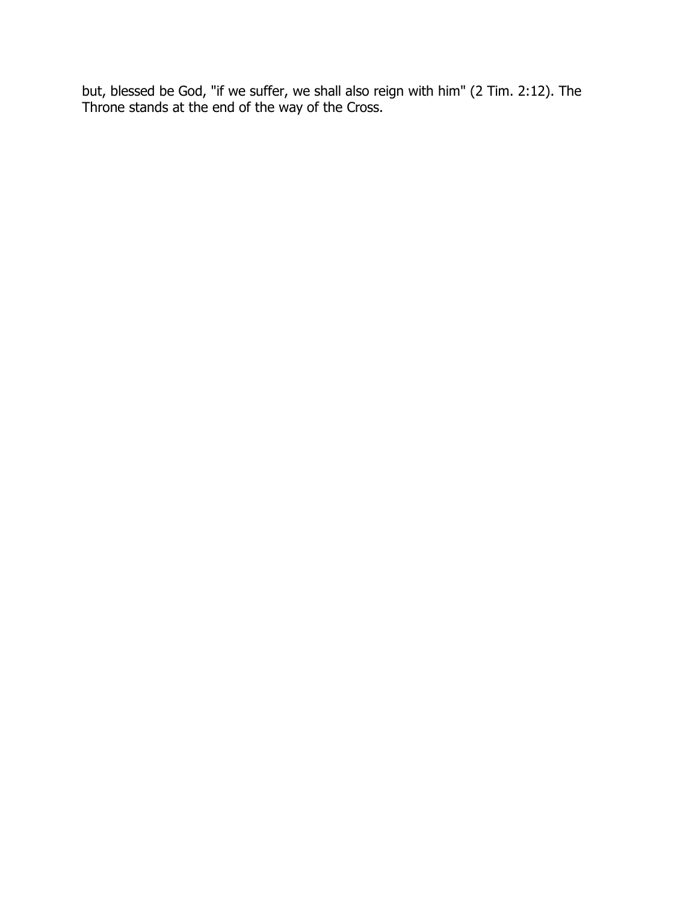but, blessed be God, "if we suffer, we shall also reign with him" (2 Tim. 2:12). The Throne stands at the end of the way of the Cross.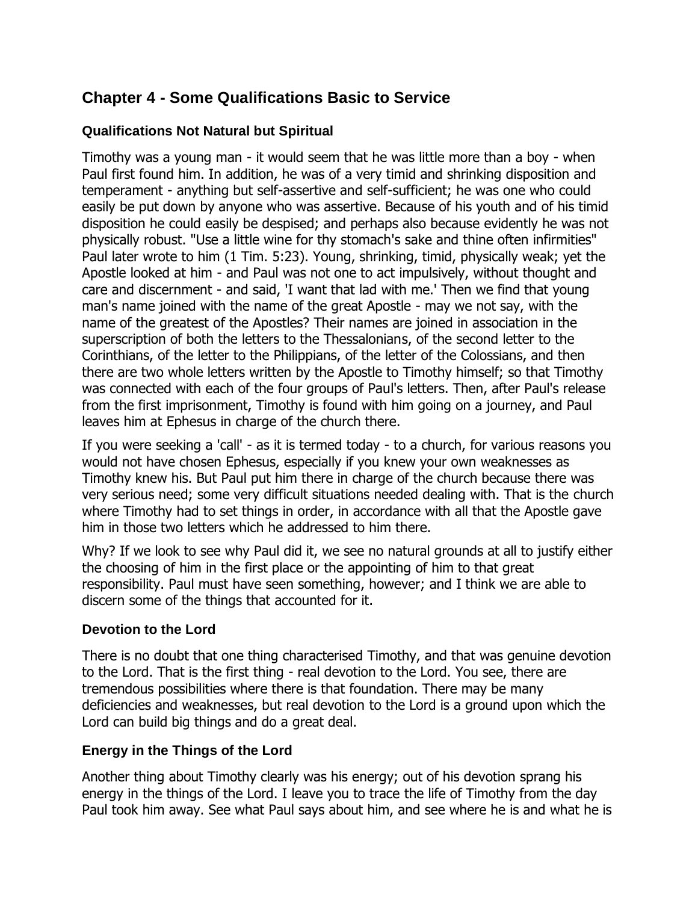# <span id="page-20-0"></span>**Chapter 4 - Some Qualifications Basic to Service**

## <span id="page-20-1"></span>**Qualifications Not Natural but Spiritual**

Timothy was a young man - it would seem that he was little more than a boy - when Paul first found him. In addition, he was of a very timid and shrinking disposition and temperament - anything but self-assertive and self-sufficient; he was one who could easily be put down by anyone who was assertive. Because of his youth and of his timid disposition he could easily be despised; and perhaps also because evidently he was not physically robust. "Use a little wine for thy stomach's sake and thine often infirmities" Paul later wrote to him (1 Tim. 5:23). Young, shrinking, timid, physically weak; yet the Apostle looked at him - and Paul was not one to act impulsively, without thought and care and discernment - and said, 'I want that lad with me.' Then we find that young man's name joined with the name of the great Apostle - may we not say, with the name of the greatest of the Apostles? Their names are joined in association in the superscription of both the letters to the Thessalonians, of the second letter to the Corinthians, of the letter to the Philippians, of the letter of the Colossians, and then there are two whole letters written by the Apostle to Timothy himself; so that Timothy was connected with each of the four groups of Paul's letters. Then, after Paul's release from the first imprisonment, Timothy is found with him going on a journey, and Paul leaves him at Ephesus in charge of the church there.

If you were seeking a 'call' - as it is termed today - to a church, for various reasons you would not have chosen Ephesus, especially if you knew your own weaknesses as Timothy knew his. But Paul put him there in charge of the church because there was very serious need; some very difficult situations needed dealing with. That is the church where Timothy had to set things in order, in accordance with all that the Apostle gave him in those two letters which he addressed to him there.

Why? If we look to see why Paul did it, we see no natural grounds at all to justify either the choosing of him in the first place or the appointing of him to that great responsibility. Paul must have seen something, however; and I think we are able to discern some of the things that accounted for it.

#### <span id="page-20-2"></span>**Devotion to the Lord**

There is no doubt that one thing characterised Timothy, and that was genuine devotion to the Lord. That is the first thing - real devotion to the Lord. You see, there are tremendous possibilities where there is that foundation. There may be many deficiencies and weaknesses, but real devotion to the Lord is a ground upon which the Lord can build big things and do a great deal.

#### <span id="page-20-3"></span>**Energy in the Things of the Lord**

Another thing about Timothy clearly was his energy; out of his devotion sprang his energy in the things of the Lord. I leave you to trace the life of Timothy from the day Paul took him away. See what Paul says about him, and see where he is and what he is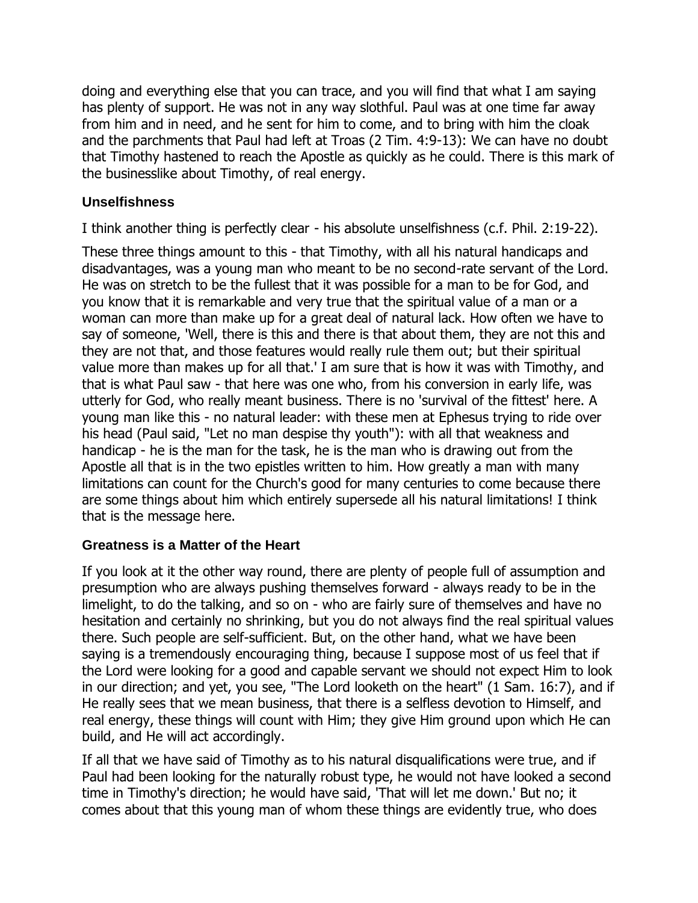doing and everything else that you can trace, and you will find that what I am saying has plenty of support. He was not in any way slothful. Paul was at one time far away from him and in need, and he sent for him to come, and to bring with him the cloak and the parchments that Paul had left at Troas (2 Tim. 4:9-13): We can have no doubt that Timothy hastened to reach the Apostle as quickly as he could. There is this mark of the businesslike about Timothy, of real energy.

## <span id="page-21-0"></span>**Unselfishness**

I think another thing is perfectly clear - his absolute unselfishness (c.f. Phil. 2:19-22).

These three things amount to this - that Timothy, with all his natural handicaps and disadvantages, was a young man who meant to be no second-rate servant of the Lord. He was on stretch to be the fullest that it was possible for a man to be for God, and you know that it is remarkable and very true that the spiritual value of a man or a woman can more than make up for a great deal of natural lack. How often we have to say of someone, 'Well, there is this and there is that about them, they are not this and they are not that, and those features would really rule them out; but their spiritual value more than makes up for all that.' I am sure that is how it was with Timothy, and that is what Paul saw - that here was one who, from his conversion in early life, was utterly for God, who really meant business. There is no 'survival of the fittest' here. A young man like this - no natural leader: with these men at Ephesus trying to ride over his head (Paul said, "Let no man despise thy youth"): with all that weakness and handicap - he is the man for the task, he is the man who is drawing out from the Apostle all that is in the two epistles written to him. How greatly a man with many limitations can count for the Church's good for many centuries to come because there are some things about him which entirely supersede all his natural limitations! I think that is the message here.

#### <span id="page-21-1"></span>**Greatness is a Matter of the Heart**

If you look at it the other way round, there are plenty of people full of assumption and presumption who are always pushing themselves forward - always ready to be in the limelight, to do the talking, and so on - who are fairly sure of themselves and have no hesitation and certainly no shrinking, but you do not always find the real spiritual values there. Such people are self-sufficient. But, on the other hand, what we have been saying is a tremendously encouraging thing, because I suppose most of us feel that if the Lord were looking for a good and capable servant we should not expect Him to look in our direction; and yet, you see, "The Lord looketh on the heart" (1 Sam. 16:7), and if He really sees that we mean business, that there is a selfless devotion to Himself, and real energy, these things will count with Him; they give Him ground upon which He can build, and He will act accordingly.

If all that we have said of Timothy as to his natural disqualifications were true, and if Paul had been looking for the naturally robust type, he would not have looked a second time in Timothy's direction; he would have said, 'That will let me down.' But no; it comes about that this young man of whom these things are evidently true, who does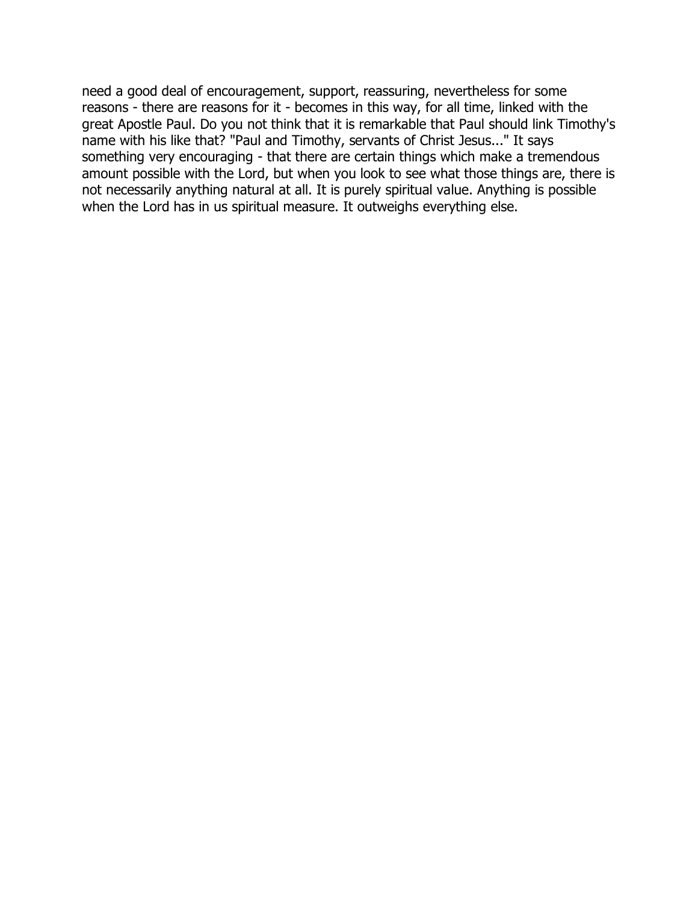need a good deal of encouragement, support, reassuring, nevertheless for some reasons - there are reasons for it - becomes in this way, for all time, linked with the great Apostle Paul. Do you not think that it is remarkable that Paul should link Timothy's name with his like that? "Paul and Timothy, servants of Christ Jesus..." It says something very encouraging - that there are certain things which make a tremendous amount possible with the Lord, but when you look to see what those things are, there is not necessarily anything natural at all. It is purely spiritual value. Anything is possible when the Lord has in us spiritual measure. It outweighs everything else.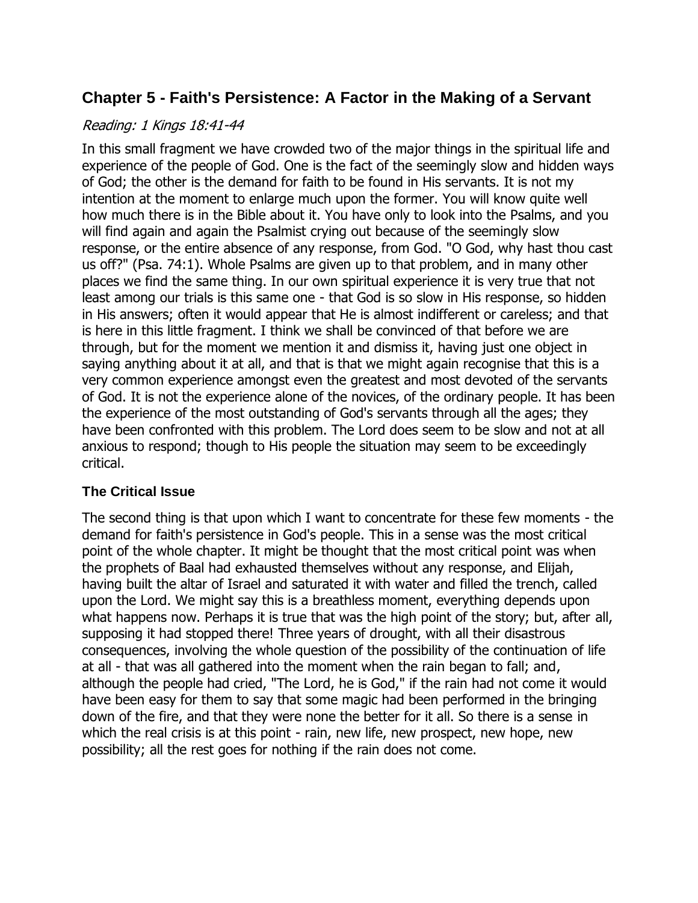# <span id="page-23-0"></span>**Chapter 5 - Faith's Persistence: A Factor in the Making of a Servant**

#### Reading: 1 Kings 18:41-44

In this small fragment we have crowded two of the major things in the spiritual life and experience of the people of God. One is the fact of the seemingly slow and hidden ways of God; the other is the demand for faith to be found in His servants. It is not my intention at the moment to enlarge much upon the former. You will know quite well how much there is in the Bible about it. You have only to look into the Psalms, and you will find again and again the Psalmist crying out because of the seemingly slow response, or the entire absence of any response, from God. "O God, why hast thou cast us off?" (Psa. 74:1). Whole Psalms are given up to that problem, and in many other places we find the same thing. In our own spiritual experience it is very true that not least among our trials is this same one - that God is so slow in His response, so hidden in His answers; often it would appear that He is almost indifferent or careless; and that is here in this little fragment. I think we shall be convinced of that before we are through, but for the moment we mention it and dismiss it, having just one object in saying anything about it at all, and that is that we might again recognise that this is a very common experience amongst even the greatest and most devoted of the servants of God. It is not the experience alone of the novices, of the ordinary people. It has been the experience of the most outstanding of God's servants through all the ages; they have been confronted with this problem. The Lord does seem to be slow and not at all anxious to respond; though to His people the situation may seem to be exceedingly critical.

## <span id="page-23-1"></span>**The Critical Issue**

The second thing is that upon which I want to concentrate for these few moments - the demand for faith's persistence in God's people. This in a sense was the most critical point of the whole chapter. It might be thought that the most critical point was when the prophets of Baal had exhausted themselves without any response, and Elijah, having built the altar of Israel and saturated it with water and filled the trench, called upon the Lord. We might say this is a breathless moment, everything depends upon what happens now. Perhaps it is true that was the high point of the story; but, after all, supposing it had stopped there! Three years of drought, with all their disastrous consequences, involving the whole question of the possibility of the continuation of life at all - that was all gathered into the moment when the rain began to fall; and, although the people had cried, "The Lord, he is God," if the rain had not come it would have been easy for them to say that some magic had been performed in the bringing down of the fire, and that they were none the better for it all. So there is a sense in which the real crisis is at this point - rain, new life, new prospect, new hope, new possibility; all the rest goes for nothing if the rain does not come.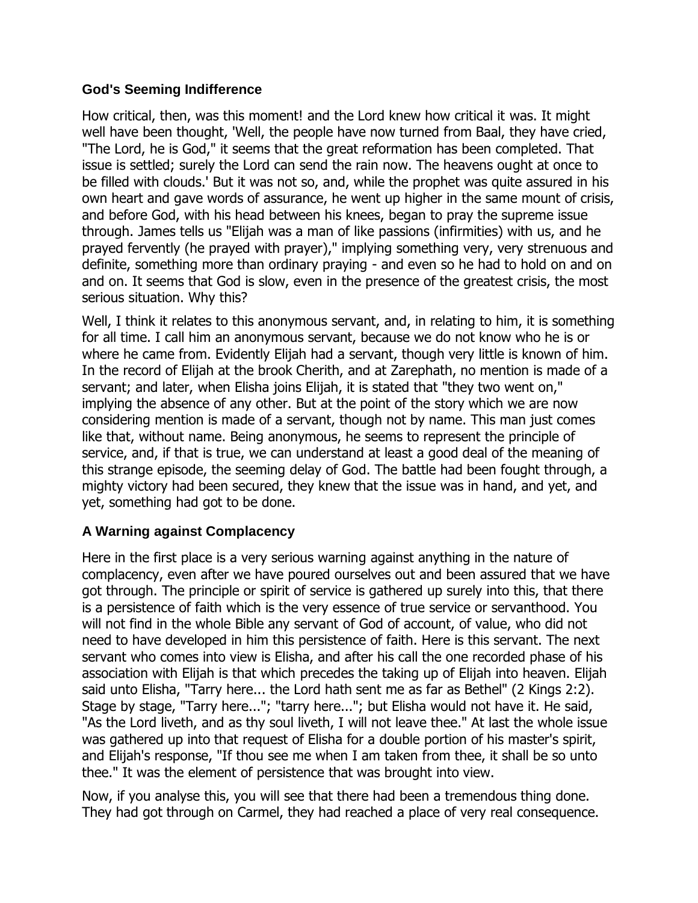#### <span id="page-24-0"></span>**God's Seeming Indifference**

How critical, then, was this moment! and the Lord knew how critical it was. It might well have been thought, 'Well, the people have now turned from Baal, they have cried, "The Lord, he is God," it seems that the great reformation has been completed. That issue is settled; surely the Lord can send the rain now. The heavens ought at once to be filled with clouds.' But it was not so, and, while the prophet was quite assured in his own heart and gave words of assurance, he went up higher in the same mount of crisis, and before God, with his head between his knees, began to pray the supreme issue through. James tells us "Elijah was a man of like passions (infirmities) with us, and he prayed fervently (he prayed with prayer)," implying something very, very strenuous and definite, something more than ordinary praying - and even so he had to hold on and on and on. It seems that God is slow, even in the presence of the greatest crisis, the most serious situation. Why this?

Well, I think it relates to this anonymous servant, and, in relating to him, it is something for all time. I call him an anonymous servant, because we do not know who he is or where he came from. Evidently Elijah had a servant, though very little is known of him. In the record of Elijah at the brook Cherith, and at Zarephath, no mention is made of a servant; and later, when Elisha joins Elijah, it is stated that "they two went on," implying the absence of any other. But at the point of the story which we are now considering mention is made of a servant, though not by name. This man just comes like that, without name. Being anonymous, he seems to represent the principle of service, and, if that is true, we can understand at least a good deal of the meaning of this strange episode, the seeming delay of God. The battle had been fought through, a mighty victory had been secured, they knew that the issue was in hand, and yet, and yet, something had got to be done.

#### <span id="page-24-1"></span>**A Warning against Complacency**

Here in the first place is a very serious warning against anything in the nature of complacency, even after we have poured ourselves out and been assured that we have got through. The principle or spirit of service is gathered up surely into this, that there is a persistence of faith which is the very essence of true service or servanthood. You will not find in the whole Bible any servant of God of account, of value, who did not need to have developed in him this persistence of faith. Here is this servant. The next servant who comes into view is Elisha, and after his call the one recorded phase of his association with Elijah is that which precedes the taking up of Elijah into heaven. Elijah said unto Elisha, "Tarry here... the Lord hath sent me as far as Bethel" (2 Kings 2:2). Stage by stage, "Tarry here..."; "tarry here..."; but Elisha would not have it. He said, "As the Lord liveth, and as thy soul liveth, I will not leave thee." At last the whole issue was gathered up into that request of Elisha for a double portion of his master's spirit, and Elijah's response, "If thou see me when I am taken from thee, it shall be so unto thee." It was the element of persistence that was brought into view.

Now, if you analyse this, you will see that there had been a tremendous thing done. They had got through on Carmel, they had reached a place of very real consequence.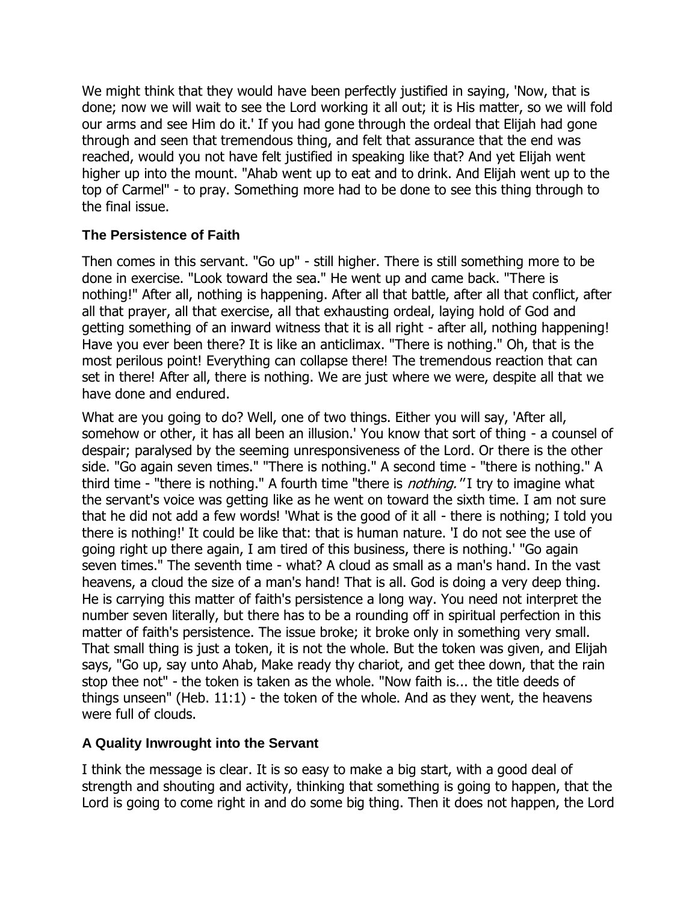We might think that they would have been perfectly justified in saying, 'Now, that is done; now we will wait to see the Lord working it all out; it is His matter, so we will fold our arms and see Him do it.' If you had gone through the ordeal that Elijah had gone through and seen that tremendous thing, and felt that assurance that the end was reached, would you not have felt justified in speaking like that? And yet Elijah went higher up into the mount. "Ahab went up to eat and to drink. And Elijah went up to the top of Carmel" - to pray. Something more had to be done to see this thing through to the final issue.

## <span id="page-25-0"></span>**The Persistence of Faith**

Then comes in this servant. "Go up" - still higher. There is still something more to be done in exercise. "Look toward the sea." He went up and came back. "There is nothing!" After all, nothing is happening. After all that battle, after all that conflict, after all that prayer, all that exercise, all that exhausting ordeal, laying hold of God and getting something of an inward witness that it is all right - after all, nothing happening! Have you ever been there? It is like an anticlimax. "There is nothing." Oh, that is the most perilous point! Everything can collapse there! The tremendous reaction that can set in there! After all, there is nothing. We are just where we were, despite all that we have done and endured.

What are you going to do? Well, one of two things. Either you will say, 'After all, somehow or other, it has all been an illusion.' You know that sort of thing - a counsel of despair; paralysed by the seeming unresponsiveness of the Lord. Or there is the other side. "Go again seven times." "There is nothing." A second time - "there is nothing." A third time - "there is nothing." A fourth time "there is *nothing."* I try to imagine what the servant's voice was getting like as he went on toward the sixth time. I am not sure that he did not add a few words! 'What is the good of it all - there is nothing; I told you there is nothing!' It could be like that: that is human nature. 'I do not see the use of going right up there again, I am tired of this business, there is nothing.' "Go again seven times." The seventh time - what? A cloud as small as a man's hand. In the vast heavens, a cloud the size of a man's hand! That is all. God is doing a very deep thing. He is carrying this matter of faith's persistence a long way. You need not interpret the number seven literally, but there has to be a rounding off in spiritual perfection in this matter of faith's persistence. The issue broke; it broke only in something very small. That small thing is just a token, it is not the whole. But the token was given, and Elijah says, "Go up, say unto Ahab, Make ready thy chariot, and get thee down, that the rain stop thee not" - the token is taken as the whole. "Now faith is... the title deeds of things unseen" (Heb. 11:1) - the token of the whole. And as they went, the heavens were full of clouds.

#### <span id="page-25-1"></span>**A Quality Inwrought into the Servant**

I think the message is clear. It is so easy to make a big start, with a good deal of strength and shouting and activity, thinking that something is going to happen, that the Lord is going to come right in and do some big thing. Then it does not happen, the Lord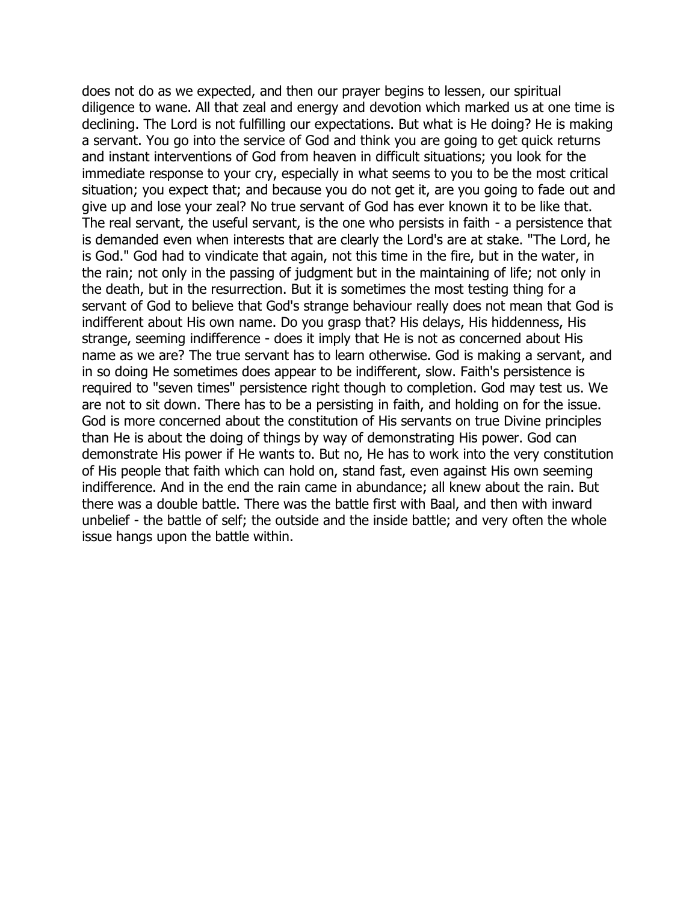does not do as we expected, and then our prayer begins to lessen, our spiritual diligence to wane. All that zeal and energy and devotion which marked us at one time is declining. The Lord is not fulfilling our expectations. But what is He doing? He is making a servant. You go into the service of God and think you are going to get quick returns and instant interventions of God from heaven in difficult situations; you look for the immediate response to your cry, especially in what seems to you to be the most critical situation; you expect that; and because you do not get it, are you going to fade out and give up and lose your zeal? No true servant of God has ever known it to be like that. The real servant, the useful servant, is the one who persists in faith - a persistence that is demanded even when interests that are clearly the Lord's are at stake. "The Lord, he is God." God had to vindicate that again, not this time in the fire, but in the water, in the rain; not only in the passing of judgment but in the maintaining of life; not only in the death, but in the resurrection. But it is sometimes the most testing thing for a servant of God to believe that God's strange behaviour really does not mean that God is indifferent about His own name. Do you grasp that? His delays, His hiddenness, His strange, seeming indifference - does it imply that He is not as concerned about His name as we are? The true servant has to learn otherwise. God is making a servant, and in so doing He sometimes does appear to be indifferent, slow. Faith's persistence is required to "seven times" persistence right though to completion. God may test us. We are not to sit down. There has to be a persisting in faith, and holding on for the issue. God is more concerned about the constitution of His servants on true Divine principles than He is about the doing of things by way of demonstrating His power. God can demonstrate His power if He wants to. But no, He has to work into the very constitution of His people that faith which can hold on, stand fast, even against His own seeming indifference. And in the end the rain came in abundance; all knew about the rain. But there was a double battle. There was the battle first with Baal, and then with inward unbelief - the battle of self; the outside and the inside battle; and very often the whole issue hangs upon the battle within.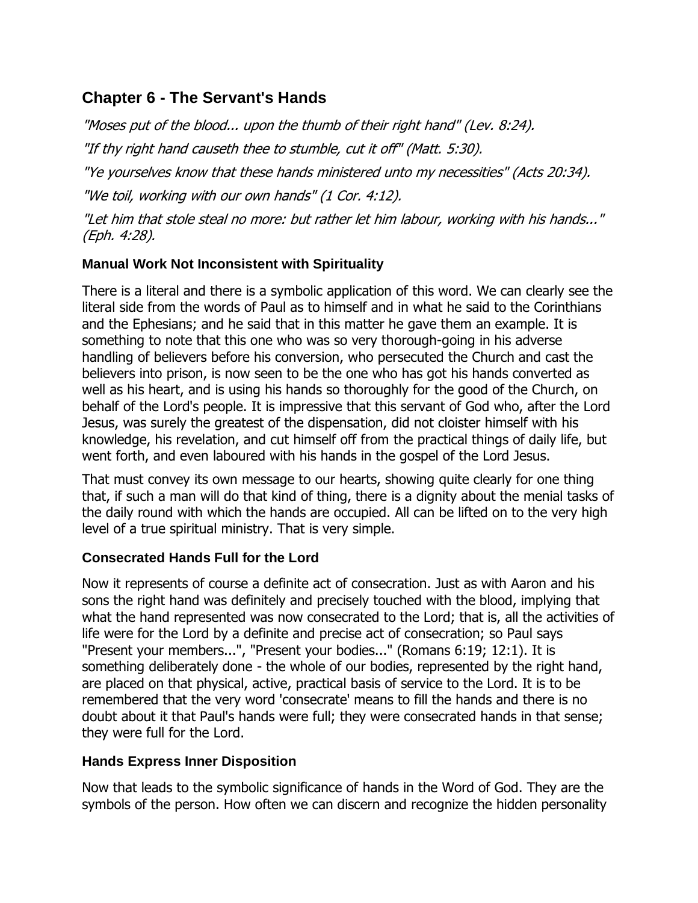# <span id="page-27-0"></span>**Chapter 6 - The Servant's Hands**

"Moses put of the blood... upon the thumb of their right hand" (Lev. 8:24). "If thy right hand causeth thee to stumble, cut it off" (Matt. 5:30). "Ye yourselves know that these hands ministered unto my necessities" (Acts 20:34). "We toil, working with our own hands" (1 Cor. 4:12). "Let him that stole steal no more: but rather let him labour, working with his hands..." (Eph. 4:28).

## <span id="page-27-1"></span>**Manual Work Not Inconsistent with Spirituality**

There is a literal and there is a symbolic application of this word. We can clearly see the literal side from the words of Paul as to himself and in what he said to the Corinthians and the Ephesians; and he said that in this matter he gave them an example. It is something to note that this one who was so very thorough-going in his adverse handling of believers before his conversion, who persecuted the Church and cast the believers into prison, is now seen to be the one who has got his hands converted as well as his heart, and is using his hands so thoroughly for the good of the Church, on behalf of the Lord's people. It is impressive that this servant of God who, after the Lord Jesus, was surely the greatest of the dispensation, did not cloister himself with his knowledge, his revelation, and cut himself off from the practical things of daily life, but went forth, and even laboured with his hands in the gospel of the Lord Jesus.

That must convey its own message to our hearts, showing quite clearly for one thing that, if such a man will do that kind of thing, there is a dignity about the menial tasks of the daily round with which the hands are occupied. All can be lifted on to the very high level of a true spiritual ministry. That is very simple.

## <span id="page-27-2"></span>**Consecrated Hands Full for the Lord**

Now it represents of course a definite act of consecration. Just as with Aaron and his sons the right hand was definitely and precisely touched with the blood, implying that what the hand represented was now consecrated to the Lord; that is, all the activities of life were for the Lord by a definite and precise act of consecration; so Paul says "Present your members...", "Present your bodies..." (Romans 6:19; 12:1). It is something deliberately done - the whole of our bodies, represented by the right hand, are placed on that physical, active, practical basis of service to the Lord. It is to be remembered that the very word 'consecrate' means to fill the hands and there is no doubt about it that Paul's hands were full; they were consecrated hands in that sense; they were full for the Lord.

#### <span id="page-27-3"></span>**Hands Express Inner Disposition**

Now that leads to the symbolic significance of hands in the Word of God. They are the symbols of the person. How often we can discern and recognize the hidden personality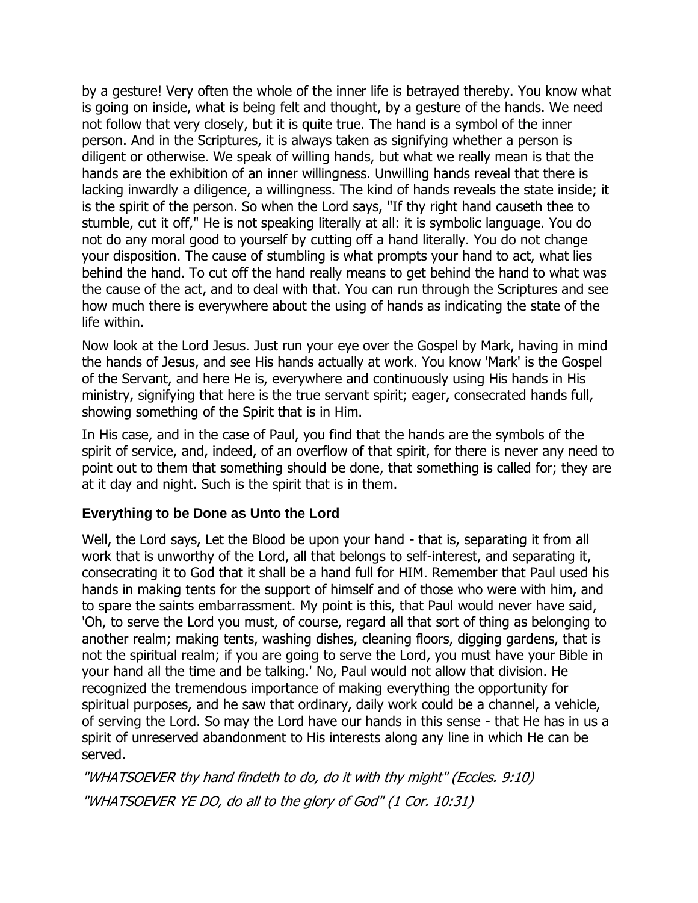by a gesture! Very often the whole of the inner life is betrayed thereby. You know what is going on inside, what is being felt and thought, by a gesture of the hands. We need not follow that very closely, but it is quite true. The hand is a symbol of the inner person. And in the Scriptures, it is always taken as signifying whether a person is diligent or otherwise. We speak of willing hands, but what we really mean is that the hands are the exhibition of an inner willingness. Unwilling hands reveal that there is lacking inwardly a diligence, a willingness. The kind of hands reveals the state inside; it is the spirit of the person. So when the Lord says, "If thy right hand causeth thee to stumble, cut it off," He is not speaking literally at all: it is symbolic language. You do not do any moral good to yourself by cutting off a hand literally. You do not change your disposition. The cause of stumbling is what prompts your hand to act, what lies behind the hand. To cut off the hand really means to get behind the hand to what was the cause of the act, and to deal with that. You can run through the Scriptures and see how much there is everywhere about the using of hands as indicating the state of the life within.

Now look at the Lord Jesus. Just run your eye over the Gospel by Mark, having in mind the hands of Jesus, and see His hands actually at work. You know 'Mark' is the Gospel of the Servant, and here He is, everywhere and continuously using His hands in His ministry, signifying that here is the true servant spirit; eager, consecrated hands full, showing something of the Spirit that is in Him.

In His case, and in the case of Paul, you find that the hands are the symbols of the spirit of service, and, indeed, of an overflow of that spirit, for there is never any need to point out to them that something should be done, that something is called for; they are at it day and night. Such is the spirit that is in them.

#### <span id="page-28-0"></span>**Everything to be Done as Unto the Lord**

Well, the Lord says, Let the Blood be upon your hand - that is, separating it from all work that is unworthy of the Lord, all that belongs to self-interest, and separating it, consecrating it to God that it shall be a hand full for HIM. Remember that Paul used his hands in making tents for the support of himself and of those who were with him, and to spare the saints embarrassment. My point is this, that Paul would never have said, 'Oh, to serve the Lord you must, of course, regard all that sort of thing as belonging to another realm; making tents, washing dishes, cleaning floors, digging gardens, that is not the spiritual realm; if you are going to serve the Lord, you must have your Bible in your hand all the time and be talking.' No, Paul would not allow that division. He recognized the tremendous importance of making everything the opportunity for spiritual purposes, and he saw that ordinary, daily work could be a channel, a vehicle, of serving the Lord. So may the Lord have our hands in this sense - that He has in us a spirit of unreserved abandonment to His interests along any line in which He can be served.

"WHATSOEVER thy hand findeth to do, do it with thy might" (Eccles. 9:10) "WHATSOEVER YE DO, do all to the glory of God" (1 Cor. 10:31)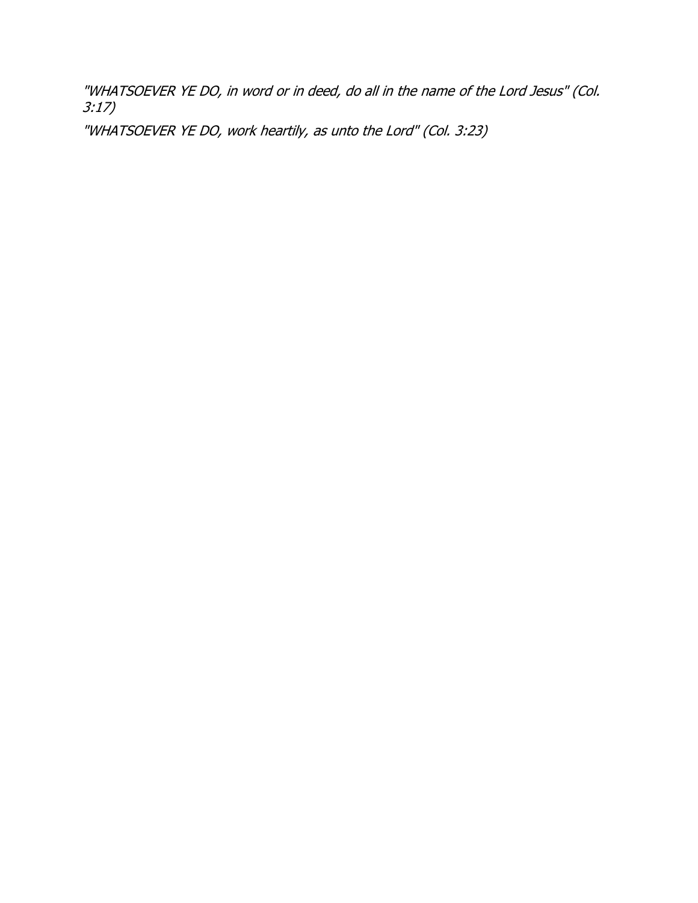"WHATSOEVER YE DO, in word or in deed, do all in the name of the Lord Jesus" (Col. 3:17)

"WHATSOEVER YE DO, work heartily, as unto the Lord" (Col. 3:23)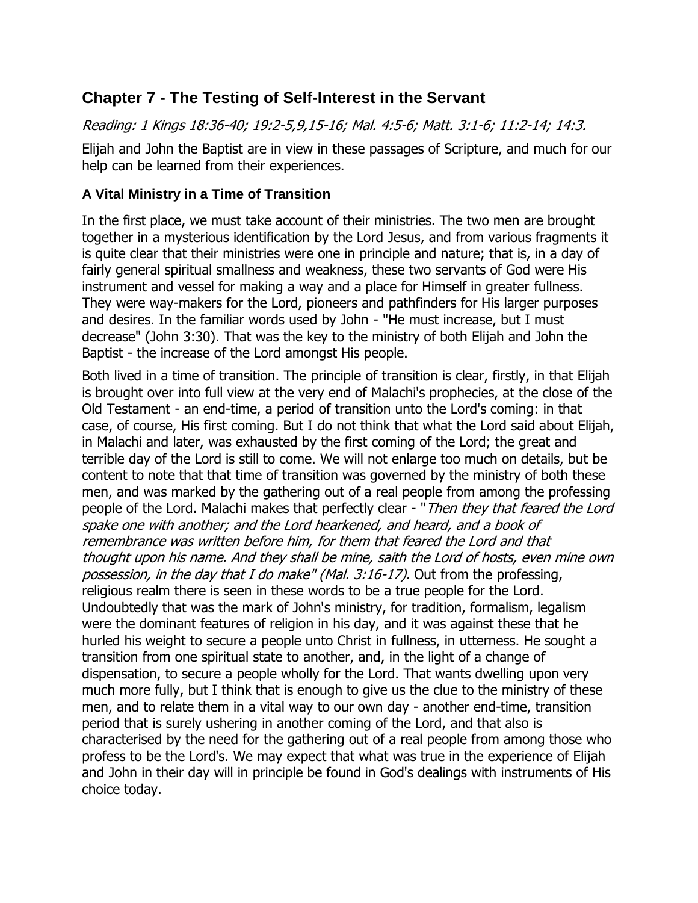# <span id="page-30-0"></span>**Chapter 7 - The Testing of Self-Interest in the Servant**

Reading: 1 Kings 18:36-40; 19:2-5,9,15-16; Mal. 4:5-6; Matt. 3:1-6; 11:2-14; 14:3.

Elijah and John the Baptist are in view in these passages of Scripture, and much for our help can be learned from their experiences.

#### <span id="page-30-1"></span>**A Vital Ministry in a Time of Transition**

In the first place, we must take account of their ministries. The two men are brought together in a mysterious identification by the Lord Jesus, and from various fragments it is quite clear that their ministries were one in principle and nature; that is, in a day of fairly general spiritual smallness and weakness, these two servants of God were His instrument and vessel for making a way and a place for Himself in greater fullness. They were way-makers for the Lord, pioneers and pathfinders for His larger purposes and desires. In the familiar words used by John - "He must increase, but I must decrease" (John 3:30). That was the key to the ministry of both Elijah and John the Baptist - the increase of the Lord amongst His people.

Both lived in a time of transition. The principle of transition is clear, firstly, in that Elijah is brought over into full view at the very end of Malachi's prophecies, at the close of the Old Testament - an end-time, a period of transition unto the Lord's coming: in that case, of course, His first coming. But I do not think that what the Lord said about Elijah, in Malachi and later, was exhausted by the first coming of the Lord; the great and terrible day of the Lord is still to come. We will not enlarge too much on details, but be content to note that that time of transition was governed by the ministry of both these men, and was marked by the gathering out of a real people from among the professing people of the Lord. Malachi makes that perfectly clear - "Then they that feared the Lord spake one with another; and the Lord hearkened, and heard, and a book of remembrance was written before him, for them that feared the Lord and that thought upon his name. And they shall be mine, saith the Lord of hosts, even mine own possession, in the day that I do make" (Mal. 3:16-17). Out from the professing, religious realm there is seen in these words to be a true people for the Lord. Undoubtedly that was the mark of John's ministry, for tradition, formalism, legalism were the dominant features of religion in his day, and it was against these that he hurled his weight to secure a people unto Christ in fullness, in utterness. He sought a transition from one spiritual state to another, and, in the light of a change of dispensation, to secure a people wholly for the Lord. That wants dwelling upon very much more fully, but I think that is enough to give us the clue to the ministry of these men, and to relate them in a vital way to our own day - another end-time, transition period that is surely ushering in another coming of the Lord, and that also is characterised by the need for the gathering out of a real people from among those who profess to be the Lord's. We may expect that what was true in the experience of Elijah and John in their day will in principle be found in God's dealings with instruments of His choice today.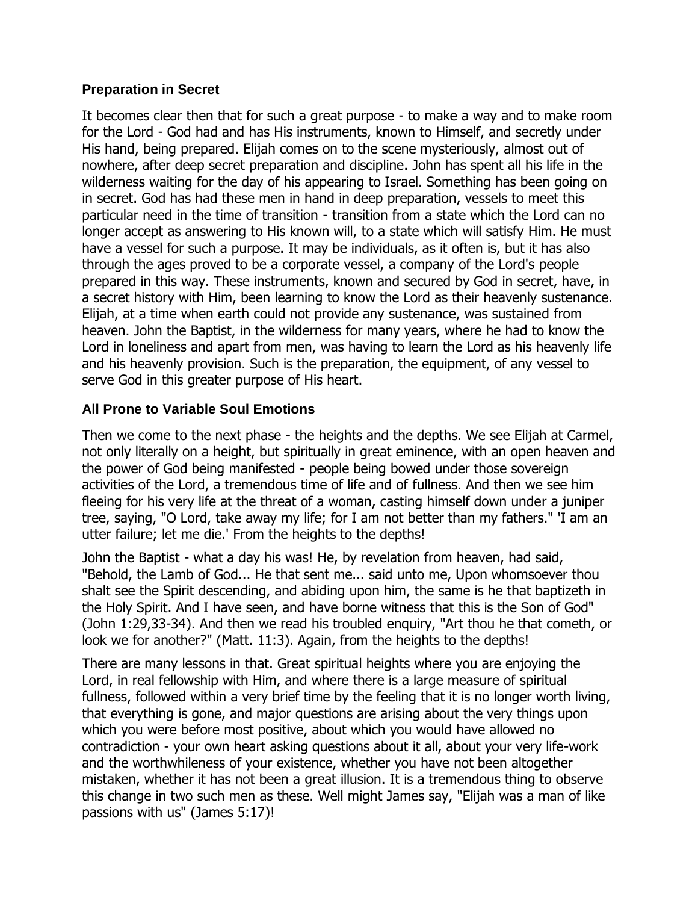#### <span id="page-31-0"></span>**Preparation in Secret**

It becomes clear then that for such a great purpose - to make a way and to make room for the Lord - God had and has His instruments, known to Himself, and secretly under His hand, being prepared. Elijah comes on to the scene mysteriously, almost out of nowhere, after deep secret preparation and discipline. John has spent all his life in the wilderness waiting for the day of his appearing to Israel. Something has been going on in secret. God has had these men in hand in deep preparation, vessels to meet this particular need in the time of transition - transition from a state which the Lord can no longer accept as answering to His known will, to a state which will satisfy Him. He must have a vessel for such a purpose. It may be individuals, as it often is, but it has also through the ages proved to be a corporate vessel, a company of the Lord's people prepared in this way. These instruments, known and secured by God in secret, have, in a secret history with Him, been learning to know the Lord as their heavenly sustenance. Elijah, at a time when earth could not provide any sustenance, was sustained from heaven. John the Baptist, in the wilderness for many years, where he had to know the Lord in loneliness and apart from men, was having to learn the Lord as his heavenly life and his heavenly provision. Such is the preparation, the equipment, of any vessel to serve God in this greater purpose of His heart.

#### <span id="page-31-1"></span>**All Prone to Variable Soul Emotions**

Then we come to the next phase - the heights and the depths. We see Elijah at Carmel, not only literally on a height, but spiritually in great eminence, with an open heaven and the power of God being manifested - people being bowed under those sovereign activities of the Lord, a tremendous time of life and of fullness. And then we see him fleeing for his very life at the threat of a woman, casting himself down under a juniper tree, saying, "O Lord, take away my life; for I am not better than my fathers." 'I am an utter failure; let me die.' From the heights to the depths!

John the Baptist - what a day his was! He, by revelation from heaven, had said, "Behold, the Lamb of God... He that sent me... said unto me, Upon whomsoever thou shalt see the Spirit descending, and abiding upon him, the same is he that baptizeth in the Holy Spirit. And I have seen, and have borne witness that this is the Son of God" (John 1:29,33-34). And then we read his troubled enquiry, "Art thou he that cometh, or look we for another?" (Matt. 11:3). Again, from the heights to the depths!

There are many lessons in that. Great spiritual heights where you are enjoying the Lord, in real fellowship with Him, and where there is a large measure of spiritual fullness, followed within a very brief time by the feeling that it is no longer worth living, that everything is gone, and major questions are arising about the very things upon which you were before most positive, about which you would have allowed no contradiction - your own heart asking questions about it all, about your very life-work and the worthwhileness of your existence, whether you have not been altogether mistaken, whether it has not been a great illusion. It is a tremendous thing to observe this change in two such men as these. Well might James say, "Elijah was a man of like passions with us" (James 5:17)!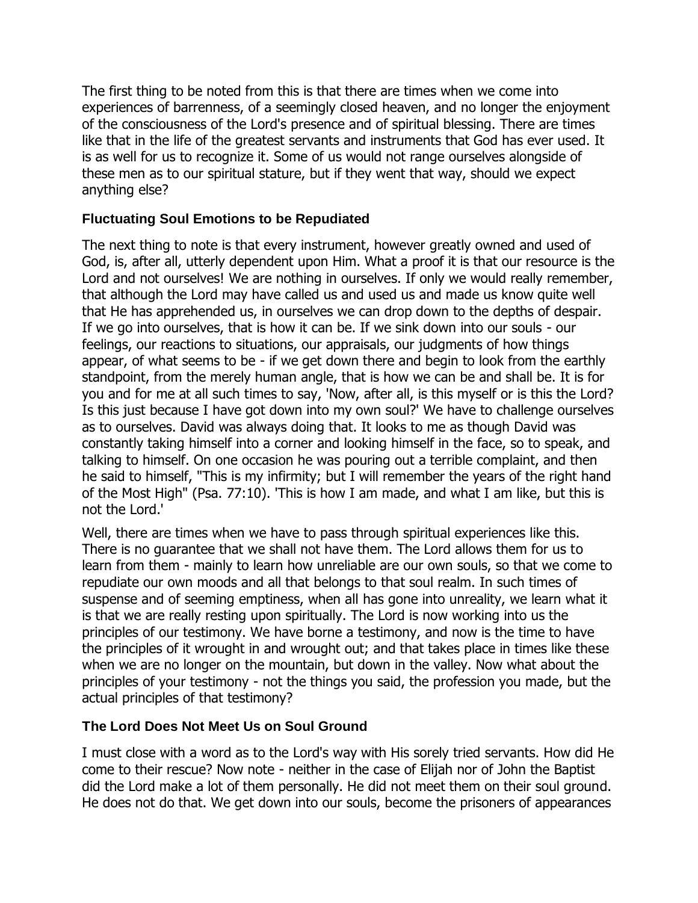The first thing to be noted from this is that there are times when we come into experiences of barrenness, of a seemingly closed heaven, and no longer the enjoyment of the consciousness of the Lord's presence and of spiritual blessing. There are times like that in the life of the greatest servants and instruments that God has ever used. It is as well for us to recognize it. Some of us would not range ourselves alongside of these men as to our spiritual stature, but if they went that way, should we expect anything else?

## <span id="page-32-0"></span>**Fluctuating Soul Emotions to be Repudiated**

The next thing to note is that every instrument, however greatly owned and used of God, is, after all, utterly dependent upon Him. What a proof it is that our resource is the Lord and not ourselves! We are nothing in ourselves. If only we would really remember, that although the Lord may have called us and used us and made us know quite well that He has apprehended us, in ourselves we can drop down to the depths of despair. If we go into ourselves, that is how it can be. If we sink down into our souls - our feelings, our reactions to situations, our appraisals, our judgments of how things appear, of what seems to be - if we get down there and begin to look from the earthly standpoint, from the merely human angle, that is how we can be and shall be. It is for you and for me at all such times to say, 'Now, after all, is this myself or is this the Lord? Is this just because I have got down into my own soul?' We have to challenge ourselves as to ourselves. David was always doing that. It looks to me as though David was constantly taking himself into a corner and looking himself in the face, so to speak, and talking to himself. On one occasion he was pouring out a terrible complaint, and then he said to himself, "This is my infirmity; but I will remember the years of the right hand of the Most High" (Psa. 77:10). 'This is how I am made, and what I am like, but this is not the Lord.'

Well, there are times when we have to pass through spiritual experiences like this. There is no guarantee that we shall not have them. The Lord allows them for us to learn from them - mainly to learn how unreliable are our own souls, so that we come to repudiate our own moods and all that belongs to that soul realm. In such times of suspense and of seeming emptiness, when all has gone into unreality, we learn what it is that we are really resting upon spiritually. The Lord is now working into us the principles of our testimony. We have borne a testimony, and now is the time to have the principles of it wrought in and wrought out; and that takes place in times like these when we are no longer on the mountain, but down in the valley. Now what about the principles of your testimony - not the things you said, the profession you made, but the actual principles of that testimony?

#### <span id="page-32-1"></span>**The Lord Does Not Meet Us on Soul Ground**

I must close with a word as to the Lord's way with His sorely tried servants. How did He come to their rescue? Now note - neither in the case of Elijah nor of John the Baptist did the Lord make a lot of them personally. He did not meet them on their soul ground. He does not do that. We get down into our souls, become the prisoners of appearances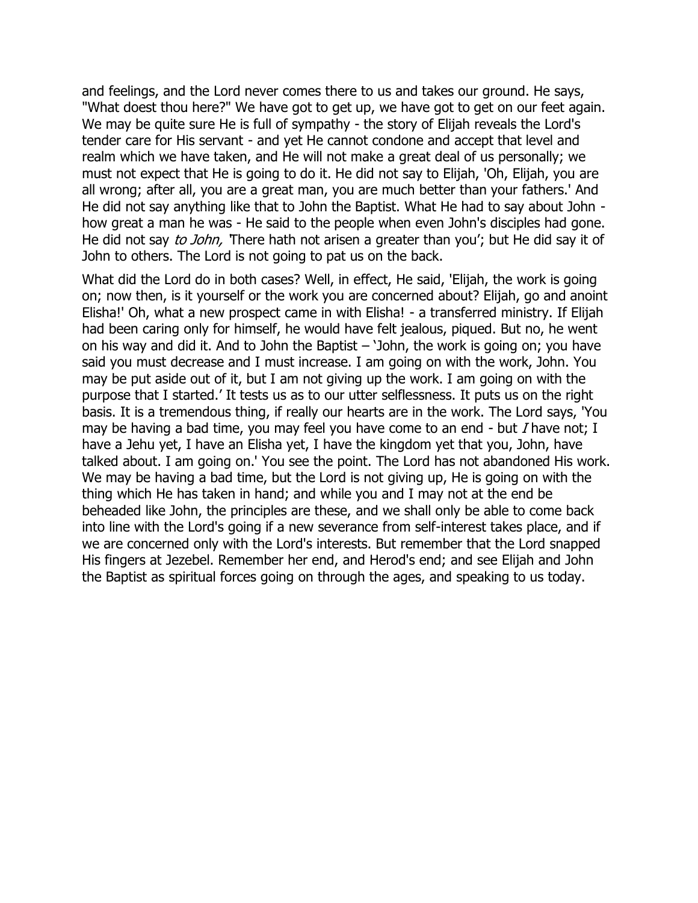and feelings, and the Lord never comes there to us and takes our ground. He says, "What doest thou here?" We have got to get up, we have got to get on our feet again. We may be quite sure He is full of sympathy - the story of Elijah reveals the Lord's tender care for His servant - and yet He cannot condone and accept that level and realm which we have taken, and He will not make a great deal of us personally; we must not expect that He is going to do it. He did not say to Elijah, 'Oh, Elijah, you are all wrong; after all, you are a great man, you are much better than your fathers.' And He did not say anything like that to John the Baptist. What He had to say about John how great a man he was - He said to the people when even John's disciples had gone. He did not say *to John*, There hath not arisen a greater than you'; but He did say it of John to others. The Lord is not going to pat us on the back.

What did the Lord do in both cases? Well, in effect, He said, 'Elijah, the work is going on; now then, is it yourself or the work you are concerned about? Elijah, go and anoint Elisha!' Oh, what a new prospect came in with Elisha! - a transferred ministry. If Elijah had been caring only for himself, he would have felt jealous, piqued. But no, he went on his way and did it. And to John the Baptist – 'John, the work is going on; you have said you must decrease and I must increase. I am going on with the work, John. You may be put aside out of it, but I am not giving up the work. I am going on with the purpose that I started.' It tests us as to our utter selflessness. It puts us on the right basis. It is a tremendous thing, if really our hearts are in the work. The Lord says, 'You may be having a bad time, you may feel you have come to an end - but  $I$  have not; I have a Jehu yet, I have an Elisha yet, I have the kingdom yet that you, John, have talked about. I am going on.' You see the point. The Lord has not abandoned His work. We may be having a bad time, but the Lord is not giving up, He is going on with the thing which He has taken in hand; and while you and I may not at the end be beheaded like John, the principles are these, and we shall only be able to come back into line with the Lord's going if a new severance from self-interest takes place, and if we are concerned only with the Lord's interests. But remember that the Lord snapped His fingers at Jezebel. Remember her end, and Herod's end; and see Elijah and John the Baptist as spiritual forces going on through the ages, and speaking to us today.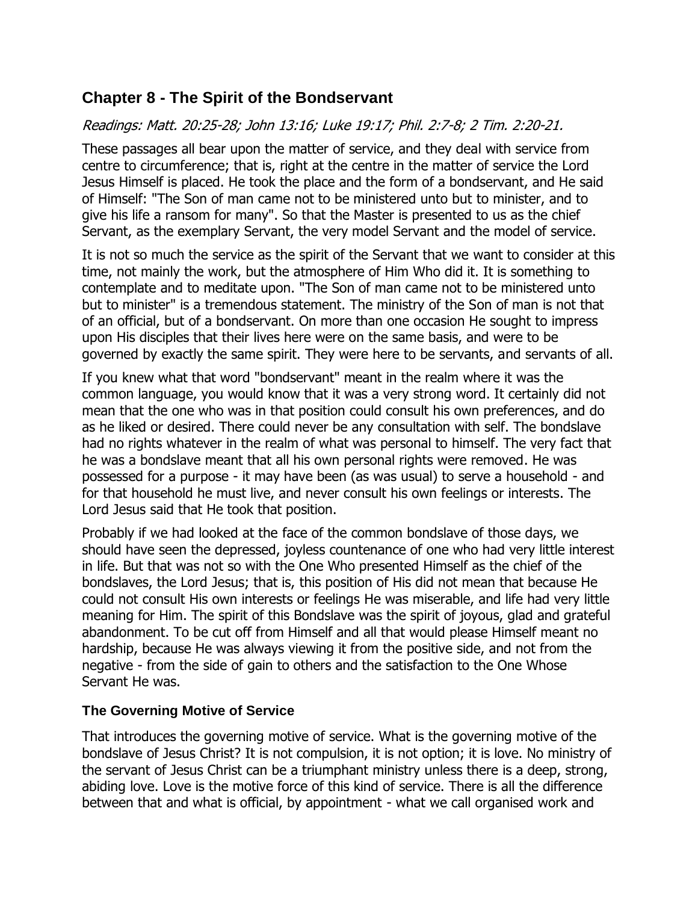# <span id="page-34-0"></span>**Chapter 8 - The Spirit of the Bondservant**

## Readings: Matt. 20:25-28; John 13:16; Luke 19:17; Phil. 2:7-8; 2 Tim. 2:20-21.

These passages all bear upon the matter of service, and they deal with service from centre to circumference; that is, right at the centre in the matter of service the Lord Jesus Himself is placed. He took the place and the form of a bondservant, and He said of Himself: "The Son of man came not to be ministered unto but to minister, and to give his life a ransom for many". So that the Master is presented to us as the chief Servant, as the exemplary Servant, the very model Servant and the model of service.

It is not so much the service as the spirit of the Servant that we want to consider at this time, not mainly the work, but the atmosphere of Him Who did it. It is something to contemplate and to meditate upon. "The Son of man came not to be ministered unto but to minister" is a tremendous statement. The ministry of the Son of man is not that of an official, but of a bondservant. On more than one occasion He sought to impress upon His disciples that their lives here were on the same basis, and were to be governed by exactly the same spirit. They were here to be servants, and servants of all.

If you knew what that word "bondservant" meant in the realm where it was the common language, you would know that it was a very strong word. It certainly did not mean that the one who was in that position could consult his own preferences, and do as he liked or desired. There could never be any consultation with self. The bondslave had no rights whatever in the realm of what was personal to himself. The very fact that he was a bondslave meant that all his own personal rights were removed. He was possessed for a purpose - it may have been (as was usual) to serve a household - and for that household he must live, and never consult his own feelings or interests. The Lord Jesus said that He took that position.

Probably if we had looked at the face of the common bondslave of those days, we should have seen the depressed, joyless countenance of one who had very little interest in life. But that was not so with the One Who presented Himself as the chief of the bondslaves, the Lord Jesus; that is, this position of His did not mean that because He could not consult His own interests or feelings He was miserable, and life had very little meaning for Him. The spirit of this Bondslave was the spirit of joyous, glad and grateful abandonment. To be cut off from Himself and all that would please Himself meant no hardship, because He was always viewing it from the positive side, and not from the negative - from the side of gain to others and the satisfaction to the One Whose Servant He was.

#### <span id="page-34-1"></span>**The Governing Motive of Service**

That introduces the governing motive of service. What is the governing motive of the bondslave of Jesus Christ? It is not compulsion, it is not option; it is love. No ministry of the servant of Jesus Christ can be a triumphant ministry unless there is a deep, strong, abiding love. Love is the motive force of this kind of service. There is all the difference between that and what is official, by appointment - what we call organised work and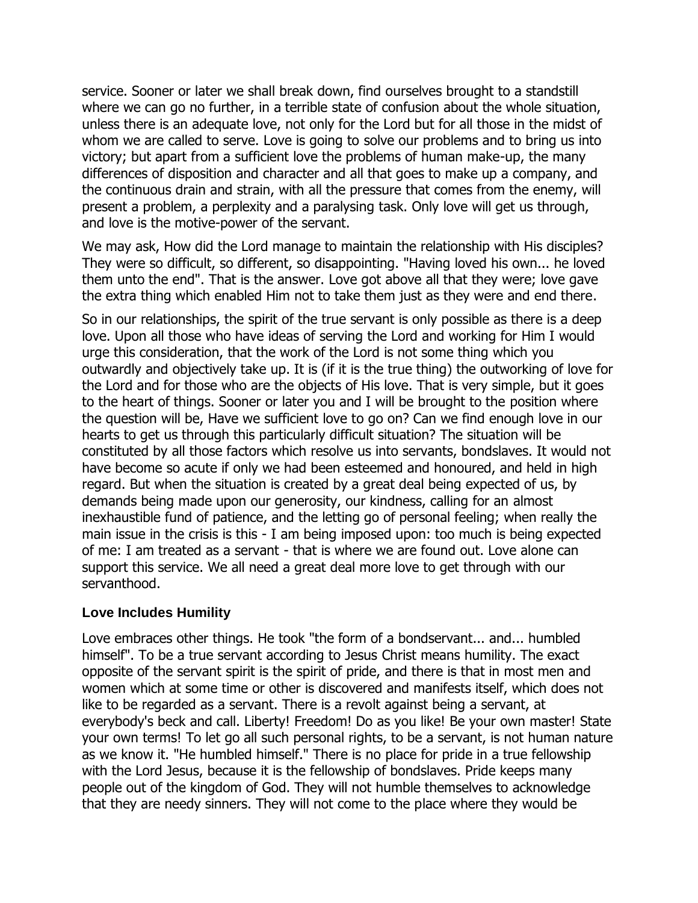service. Sooner or later we shall break down, find ourselves brought to a standstill where we can go no further, in a terrible state of confusion about the whole situation, unless there is an adequate love, not only for the Lord but for all those in the midst of whom we are called to serve. Love is going to solve our problems and to bring us into victory; but apart from a sufficient love the problems of human make-up, the many differences of disposition and character and all that goes to make up a company, and the continuous drain and strain, with all the pressure that comes from the enemy, will present a problem, a perplexity and a paralysing task. Only love will get us through, and love is the motive-power of the servant.

We may ask, How did the Lord manage to maintain the relationship with His disciples? They were so difficult, so different, so disappointing. "Having loved his own... he loved them unto the end". That is the answer. Love got above all that they were; love gave the extra thing which enabled Him not to take them just as they were and end there.

So in our relationships, the spirit of the true servant is only possible as there is a deep love. Upon all those who have ideas of serving the Lord and working for Him I would urge this consideration, that the work of the Lord is not some thing which you outwardly and objectively take up. It is (if it is the true thing) the outworking of love for the Lord and for those who are the objects of His love. That is very simple, but it goes to the heart of things. Sooner or later you and I will be brought to the position where the question will be, Have we sufficient love to go on? Can we find enough love in our hearts to get us through this particularly difficult situation? The situation will be constituted by all those factors which resolve us into servants, bondslaves. It would not have become so acute if only we had been esteemed and honoured, and held in high regard. But when the situation is created by a great deal being expected of us, by demands being made upon our generosity, our kindness, calling for an almost inexhaustible fund of patience, and the letting go of personal feeling; when really the main issue in the crisis is this - I am being imposed upon: too much is being expected of me: I am treated as a servant - that is where we are found out. Love alone can support this service. We all need a great deal more love to get through with our servanthood.

#### <span id="page-35-0"></span>**Love Includes Humility**

Love embraces other things. He took "the form of a bondservant... and... humbled himself". To be a true servant according to Jesus Christ means humility. The exact opposite of the servant spirit is the spirit of pride, and there is that in most men and women which at some time or other is discovered and manifests itself, which does not like to be regarded as a servant. There is a revolt against being a servant, at everybody's beck and call. Liberty! Freedom! Do as you like! Be your own master! State your own terms! To let go all such personal rights, to be a servant, is not human nature as we know it. "He humbled himself." There is no place for pride in a true fellowship with the Lord Jesus, because it is the fellowship of bondslaves. Pride keeps many people out of the kingdom of God. They will not humble themselves to acknowledge that they are needy sinners. They will not come to the place where they would be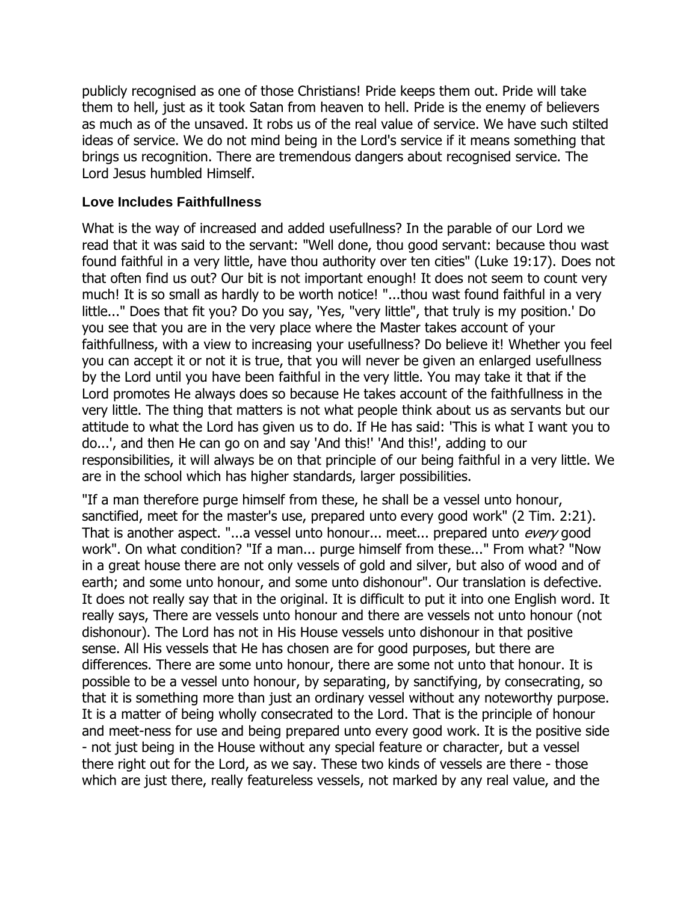publicly recognised as one of those Christians! Pride keeps them out. Pride will take them to hell, just as it took Satan from heaven to hell. Pride is the enemy of believers as much as of the unsaved. It robs us of the real value of service. We have such stilted ideas of service. We do not mind being in the Lord's service if it means something that brings us recognition. There are tremendous dangers about recognised service. The Lord Jesus humbled Himself.

#### <span id="page-36-0"></span>**Love Includes Faithfullness**

What is the way of increased and added usefullness? In the parable of our Lord we read that it was said to the servant: "Well done, thou good servant: because thou wast found faithful in a very little, have thou authority over ten cities" (Luke 19:17). Does not that often find us out? Our bit is not important enough! It does not seem to count very much! It is so small as hardly to be worth notice! "...thou wast found faithful in a very little..." Does that fit you? Do you say, 'Yes, "very little", that truly is my position.' Do you see that you are in the very place where the Master takes account of your faithfullness, with a view to increasing your usefullness? Do believe it! Whether you feel you can accept it or not it is true, that you will never be given an enlarged usefullness by the Lord until you have been faithful in the very little. You may take it that if the Lord promotes He always does so because He takes account of the faithfullness in the very little. The thing that matters is not what people think about us as servants but our attitude to what the Lord has given us to do. If He has said: 'This is what I want you to do...', and then He can go on and say 'And this!' 'And this!', adding to our responsibilities, it will always be on that principle of our being faithful in a very little. We are in the school which has higher standards, larger possibilities.

"If a man therefore purge himself from these, he shall be a vessel unto honour, sanctified, meet for the master's use, prepared unto every good work" (2 Tim. 2:21). That is another aspect. "...a vessel unto honour... meet... prepared unto every good work". On what condition? "If a man... purge himself from these..." From what? "Now in a great house there are not only vessels of gold and silver, but also of wood and of earth; and some unto honour, and some unto dishonour". Our translation is defective. It does not really say that in the original. It is difficult to put it into one English word. It really says, There are vessels unto honour and there are vessels not unto honour (not dishonour). The Lord has not in His House vessels unto dishonour in that positive sense. All His vessels that He has chosen are for good purposes, but there are differences. There are some unto honour, there are some not unto that honour. It is possible to be a vessel unto honour, by separating, by sanctifying, by consecrating, so that it is something more than just an ordinary vessel without any noteworthy purpose. It is a matter of being wholly consecrated to the Lord. That is the principle of honour and meet-ness for use and being prepared unto every good work. It is the positive side - not just being in the House without any special feature or character, but a vessel there right out for the Lord, as we say. These two kinds of vessels are there - those which are just there, really featureless vessels, not marked by any real value, and the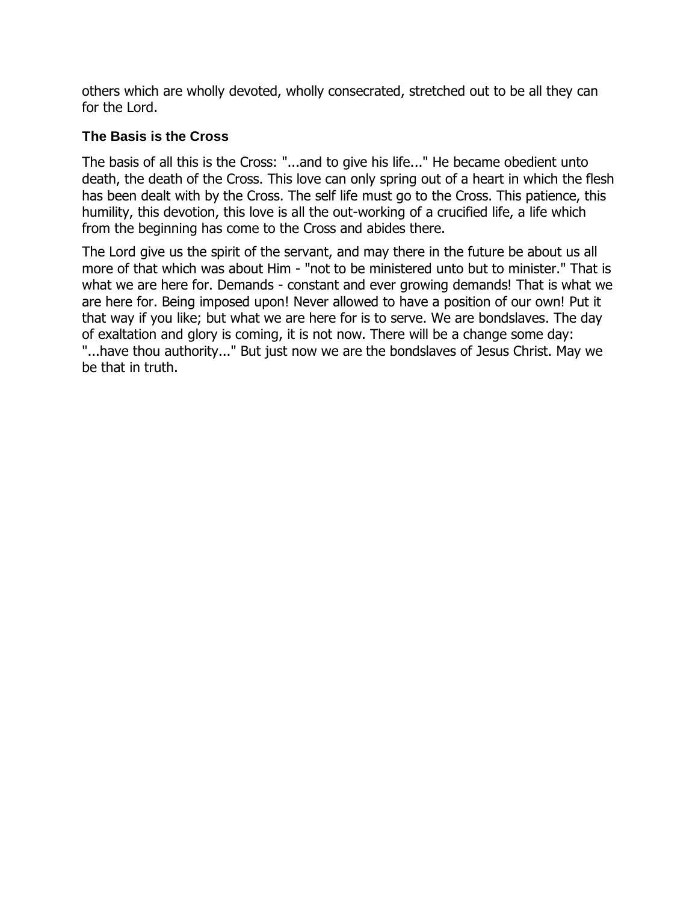others which are wholly devoted, wholly consecrated, stretched out to be all they can for the Lord.

#### <span id="page-37-0"></span>**The Basis is the Cross**

The basis of all this is the Cross: "...and to give his life..." He became obedient unto death, the death of the Cross. This love can only spring out of a heart in which the flesh has been dealt with by the Cross. The self life must go to the Cross. This patience, this humility, this devotion, this love is all the out-working of a crucified life, a life which from the beginning has come to the Cross and abides there.

The Lord give us the spirit of the servant, and may there in the future be about us all more of that which was about Him - "not to be ministered unto but to minister." That is what we are here for. Demands - constant and ever growing demands! That is what we are here for. Being imposed upon! Never allowed to have a position of our own! Put it that way if you like; but what we are here for is to serve. We are bondslaves. The day of exaltation and glory is coming, it is not now. There will be a change some day: "...have thou authority..." But just now we are the bondslaves of Jesus Christ. May we be that in truth.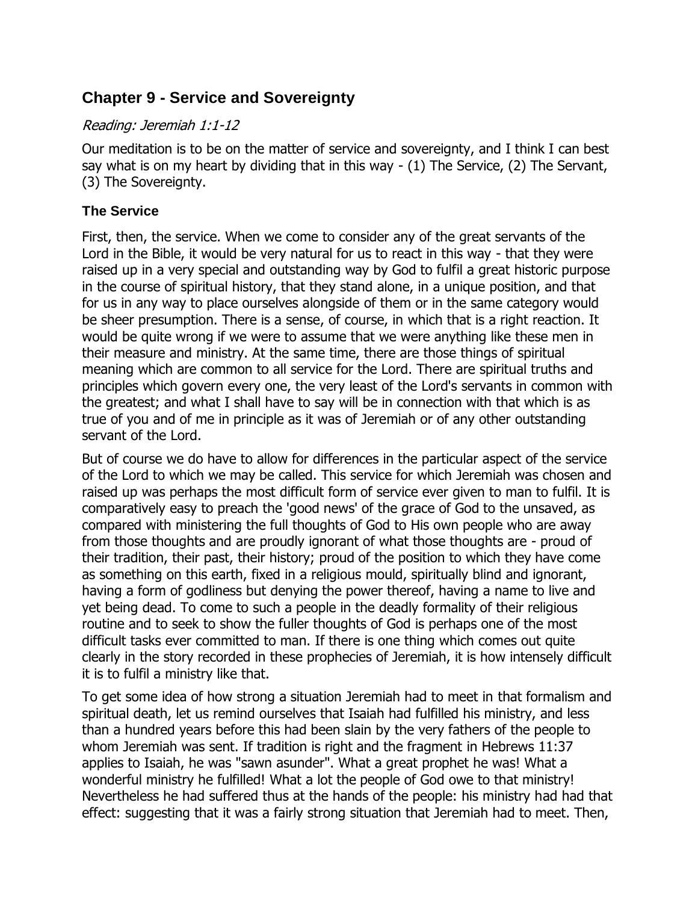# <span id="page-38-0"></span>**Chapter 9 - Service and Sovereignty**

#### Reading: Jeremiah 1:1-12

Our meditation is to be on the matter of service and sovereignty, and I think I can best say what is on my heart by dividing that in this way - (1) The Service, (2) The Servant, (3) The Sovereignty.

## <span id="page-38-1"></span>**The Service**

First, then, the service. When we come to consider any of the great servants of the Lord in the Bible, it would be very natural for us to react in this way - that they were raised up in a very special and outstanding way by God to fulfil a great historic purpose in the course of spiritual history, that they stand alone, in a unique position, and that for us in any way to place ourselves alongside of them or in the same category would be sheer presumption. There is a sense, of course, in which that is a right reaction. It would be quite wrong if we were to assume that we were anything like these men in their measure and ministry. At the same time, there are those things of spiritual meaning which are common to all service for the Lord. There are spiritual truths and principles which govern every one, the very least of the Lord's servants in common with the greatest; and what I shall have to say will be in connection with that which is as true of you and of me in principle as it was of Jeremiah or of any other outstanding servant of the Lord.

But of course we do have to allow for differences in the particular aspect of the service of the Lord to which we may be called. This service for which Jeremiah was chosen and raised up was perhaps the most difficult form of service ever given to man to fulfil. It is comparatively easy to preach the 'good news' of the grace of God to the unsaved, as compared with ministering the full thoughts of God to His own people who are away from those thoughts and are proudly ignorant of what those thoughts are - proud of their tradition, their past, their history; proud of the position to which they have come as something on this earth, fixed in a religious mould, spiritually blind and ignorant, having a form of godliness but denying the power thereof, having a name to live and yet being dead. To come to such a people in the deadly formality of their religious routine and to seek to show the fuller thoughts of God is perhaps one of the most difficult tasks ever committed to man. If there is one thing which comes out quite clearly in the story recorded in these prophecies of Jeremiah, it is how intensely difficult it is to fulfil a ministry like that.

To get some idea of how strong a situation Jeremiah had to meet in that formalism and spiritual death, let us remind ourselves that Isaiah had fulfilled his ministry, and less than a hundred years before this had been slain by the very fathers of the people to whom Jeremiah was sent. If tradition is right and the fragment in Hebrews 11:37 applies to Isaiah, he was "sawn asunder". What a great prophet he was! What a wonderful ministry he fulfilled! What a lot the people of God owe to that ministry! Nevertheless he had suffered thus at the hands of the people: his ministry had had that effect: suggesting that it was a fairly strong situation that Jeremiah had to meet. Then,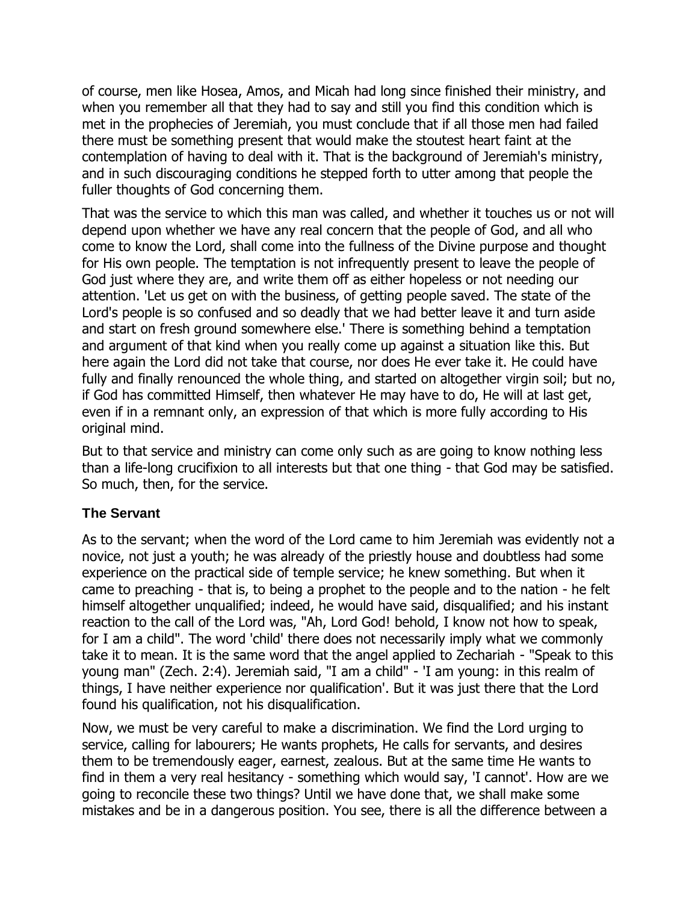of course, men like Hosea, Amos, and Micah had long since finished their ministry, and when you remember all that they had to say and still you find this condition which is met in the prophecies of Jeremiah, you must conclude that if all those men had failed there must be something present that would make the stoutest heart faint at the contemplation of having to deal with it. That is the background of Jeremiah's ministry, and in such discouraging conditions he stepped forth to utter among that people the fuller thoughts of God concerning them.

That was the service to which this man was called, and whether it touches us or not will depend upon whether we have any real concern that the people of God, and all who come to know the Lord, shall come into the fullness of the Divine purpose and thought for His own people. The temptation is not infrequently present to leave the people of God just where they are, and write them off as either hopeless or not needing our attention. 'Let us get on with the business, of getting people saved. The state of the Lord's people is so confused and so deadly that we had better leave it and turn aside and start on fresh ground somewhere else.' There is something behind a temptation and argument of that kind when you really come up against a situation like this. But here again the Lord did not take that course, nor does He ever take it. He could have fully and finally renounced the whole thing, and started on altogether virgin soil; but no, if God has committed Himself, then whatever He may have to do, He will at last get, even if in a remnant only, an expression of that which is more fully according to His original mind.

But to that service and ministry can come only such as are going to know nothing less than a life-long crucifixion to all interests but that one thing - that God may be satisfied. So much, then, for the service.

#### <span id="page-39-0"></span>**The Servant**

As to the servant; when the word of the Lord came to him Jeremiah was evidently not a novice, not just a youth; he was already of the priestly house and doubtless had some experience on the practical side of temple service; he knew something. But when it came to preaching - that is, to being a prophet to the people and to the nation - he felt himself altogether unqualified; indeed, he would have said, disqualified; and his instant reaction to the call of the Lord was, "Ah, Lord God! behold, I know not how to speak, for I am a child". The word 'child' there does not necessarily imply what we commonly take it to mean. It is the same word that the angel applied to Zechariah - "Speak to this young man" (Zech. 2:4). Jeremiah said, "I am a child" - 'I am young: in this realm of things, I have neither experience nor qualification'. But it was just there that the Lord found his qualification, not his disqualification.

Now, we must be very careful to make a discrimination. We find the Lord urging to service, calling for labourers; He wants prophets, He calls for servants, and desires them to be tremendously eager, earnest, zealous. But at the same time He wants to find in them a very real hesitancy - something which would say, 'I cannot'. How are we going to reconcile these two things? Until we have done that, we shall make some mistakes and be in a dangerous position. You see, there is all the difference between a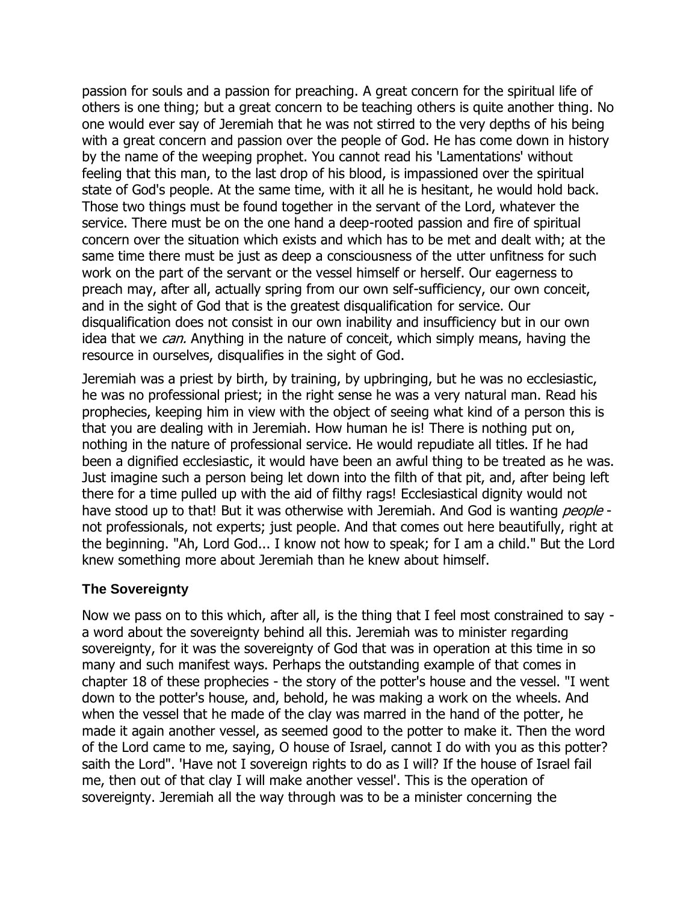passion for souls and a passion for preaching. A great concern for the spiritual life of others is one thing; but a great concern to be teaching others is quite another thing. No one would ever say of Jeremiah that he was not stirred to the very depths of his being with a great concern and passion over the people of God. He has come down in history by the name of the weeping prophet. You cannot read his 'Lamentations' without feeling that this man, to the last drop of his blood, is impassioned over the spiritual state of God's people. At the same time, with it all he is hesitant, he would hold back. Those two things must be found together in the servant of the Lord, whatever the service. There must be on the one hand a deep-rooted passion and fire of spiritual concern over the situation which exists and which has to be met and dealt with; at the same time there must be just as deep a consciousness of the utter unfitness for such work on the part of the servant or the vessel himself or herself. Our eagerness to preach may, after all, actually spring from our own self-sufficiency, our own conceit, and in the sight of God that is the greatest disqualification for service. Our disqualification does not consist in our own inability and insufficiency but in our own idea that we *can*. Anything in the nature of conceit, which simply means, having the resource in ourselves, disqualifies in the sight of God.

Jeremiah was a priest by birth, by training, by upbringing, but he was no ecclesiastic, he was no professional priest; in the right sense he was a very natural man. Read his prophecies, keeping him in view with the object of seeing what kind of a person this is that you are dealing with in Jeremiah. How human he is! There is nothing put on, nothing in the nature of professional service. He would repudiate all titles. If he had been a dignified ecclesiastic, it would have been an awful thing to be treated as he was. Just imagine such a person being let down into the filth of that pit, and, after being left there for a time pulled up with the aid of filthy rags! Ecclesiastical dignity would not have stood up to that! But it was otherwise with Jeremiah. And God is wanting *people* not professionals, not experts; just people. And that comes out here beautifully, right at the beginning. "Ah, Lord God... I know not how to speak; for I am a child." But the Lord knew something more about Jeremiah than he knew about himself.

#### <span id="page-40-0"></span>**The Sovereignty**

Now we pass on to this which, after all, is the thing that I feel most constrained to say a word about the sovereignty behind all this. Jeremiah was to minister regarding sovereignty, for it was the sovereignty of God that was in operation at this time in so many and such manifest ways. Perhaps the outstanding example of that comes in chapter 18 of these prophecies - the story of the potter's house and the vessel. "I went down to the potter's house, and, behold, he was making a work on the wheels. And when the vessel that he made of the clay was marred in the hand of the potter, he made it again another vessel, as seemed good to the potter to make it. Then the word of the Lord came to me, saying, O house of Israel, cannot I do with you as this potter? saith the Lord". 'Have not I sovereign rights to do as I will? If the house of Israel fail me, then out of that clay I will make another vessel'. This is the operation of sovereignty. Jeremiah all the way through was to be a minister concerning the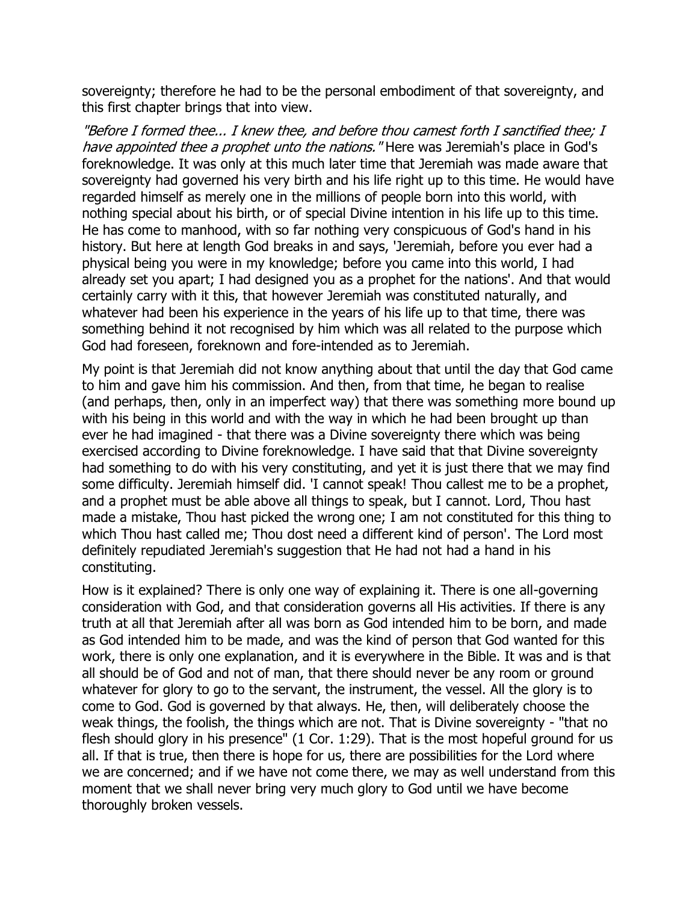sovereignty; therefore he had to be the personal embodiment of that sovereignty, and this first chapter brings that into view.

"Before I formed thee... I knew thee, and before thou camest forth I sanctified thee; I have appointed thee a prophet unto the nations. "Here was Jeremiah's place in God's foreknowledge. It was only at this much later time that Jeremiah was made aware that sovereignty had governed his very birth and his life right up to this time. He would have regarded himself as merely one in the millions of people born into this world, with nothing special about his birth, or of special Divine intention in his life up to this time. He has come to manhood, with so far nothing very conspicuous of God's hand in his history. But here at length God breaks in and says, 'Jeremiah, before you ever had a physical being you were in my knowledge; before you came into this world, I had already set you apart; I had designed you as a prophet for the nations'. And that would certainly carry with it this, that however Jeremiah was constituted naturally, and whatever had been his experience in the years of his life up to that time, there was something behind it not recognised by him which was all related to the purpose which God had foreseen, foreknown and fore-intended as to Jeremiah.

My point is that Jeremiah did not know anything about that until the day that God came to him and gave him his commission. And then, from that time, he began to realise (and perhaps, then, only in an imperfect way) that there was something more bound up with his being in this world and with the way in which he had been brought up than ever he had imagined - that there was a Divine sovereignty there which was being exercised according to Divine foreknowledge. I have said that that Divine sovereignty had something to do with his very constituting, and yet it is just there that we may find some difficulty. Jeremiah himself did. 'I cannot speak! Thou callest me to be a prophet, and a prophet must be able above all things to speak, but I cannot. Lord, Thou hast made a mistake, Thou hast picked the wrong one; I am not constituted for this thing to which Thou hast called me; Thou dost need a different kind of person'. The Lord most definitely repudiated Jeremiah's suggestion that He had not had a hand in his constituting.

How is it explained? There is only one way of explaining it. There is one all-governing consideration with God, and that consideration governs all His activities. If there is any truth at all that Jeremiah after all was born as God intended him to be born, and made as God intended him to be made, and was the kind of person that God wanted for this work, there is only one explanation, and it is everywhere in the Bible. It was and is that all should be of God and not of man, that there should never be any room or ground whatever for glory to go to the servant, the instrument, the vessel. All the glory is to come to God. God is governed by that always. He, then, will deliberately choose the weak things, the foolish, the things which are not. That is Divine sovereignty - "that no flesh should glory in his presence" (1 Cor. 1:29). That is the most hopeful ground for us all. If that is true, then there is hope for us, there are possibilities for the Lord where we are concerned; and if we have not come there, we may as well understand from this moment that we shall never bring very much glory to God until we have become thoroughly broken vessels.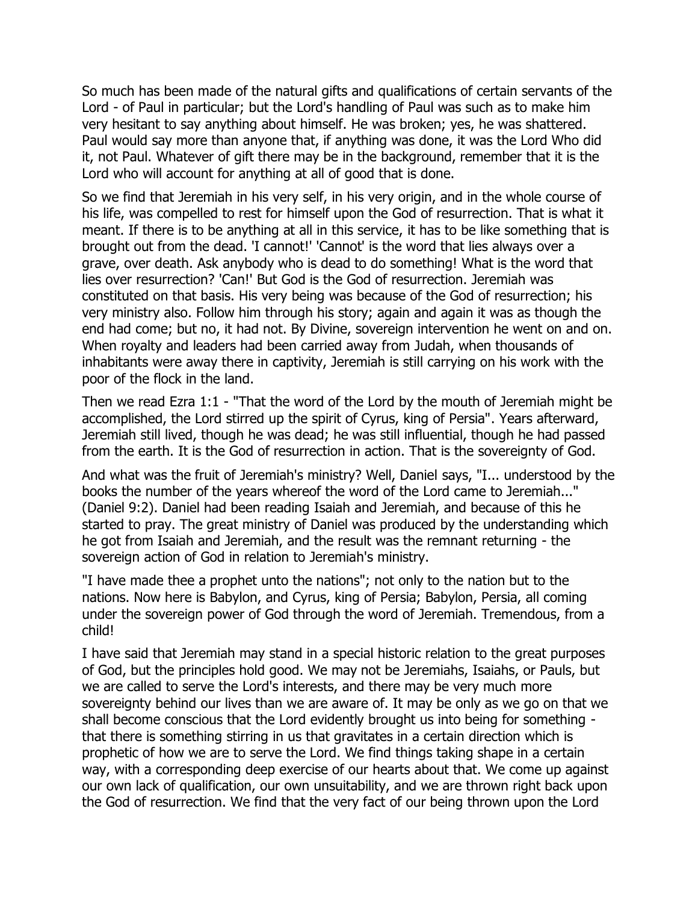So much has been made of the natural gifts and qualifications of certain servants of the Lord - of Paul in particular; but the Lord's handling of Paul was such as to make him very hesitant to say anything about himself. He was broken; yes, he was shattered. Paul would say more than anyone that, if anything was done, it was the Lord Who did it, not Paul. Whatever of gift there may be in the background, remember that it is the Lord who will account for anything at all of good that is done.

So we find that Jeremiah in his very self, in his very origin, and in the whole course of his life, was compelled to rest for himself upon the God of resurrection. That is what it meant. If there is to be anything at all in this service, it has to be like something that is brought out from the dead. 'I cannot!' 'Cannot' is the word that lies always over a grave, over death. Ask anybody who is dead to do something! What is the word that lies over resurrection? 'Can!' But God is the God of resurrection. Jeremiah was constituted on that basis. His very being was because of the God of resurrection; his very ministry also. Follow him through his story; again and again it was as though the end had come; but no, it had not. By Divine, sovereign intervention he went on and on. When royalty and leaders had been carried away from Judah, when thousands of inhabitants were away there in captivity, Jeremiah is still carrying on his work with the poor of the flock in the land.

Then we read Ezra 1:1 - "That the word of the Lord by the mouth of Jeremiah might be accomplished, the Lord stirred up the spirit of Cyrus, king of Persia". Years afterward, Jeremiah still lived, though he was dead; he was still influential, though he had passed from the earth. It is the God of resurrection in action. That is the sovereignty of God.

And what was the fruit of Jeremiah's ministry? Well, Daniel says, "I... understood by the books the number of the years whereof the word of the Lord came to Jeremiah..." (Daniel 9:2). Daniel had been reading Isaiah and Jeremiah, and because of this he started to pray. The great ministry of Daniel was produced by the understanding which he got from Isaiah and Jeremiah, and the result was the remnant returning - the sovereign action of God in relation to Jeremiah's ministry.

"I have made thee a prophet unto the nations"; not only to the nation but to the nations. Now here is Babylon, and Cyrus, king of Persia; Babylon, Persia, all coming under the sovereign power of God through the word of Jeremiah. Tremendous, from a child!

I have said that Jeremiah may stand in a special historic relation to the great purposes of God, but the principles hold good. We may not be Jeremiahs, Isaiahs, or Pauls, but we are called to serve the Lord's interests, and there may be very much more sovereignty behind our lives than we are aware of. It may be only as we go on that we shall become conscious that the Lord evidently brought us into being for something that there is something stirring in us that gravitates in a certain direction which is prophetic of how we are to serve the Lord. We find things taking shape in a certain way, with a corresponding deep exercise of our hearts about that. We come up against our own lack of qualification, our own unsuitability, and we are thrown right back upon the God of resurrection. We find that the very fact of our being thrown upon the Lord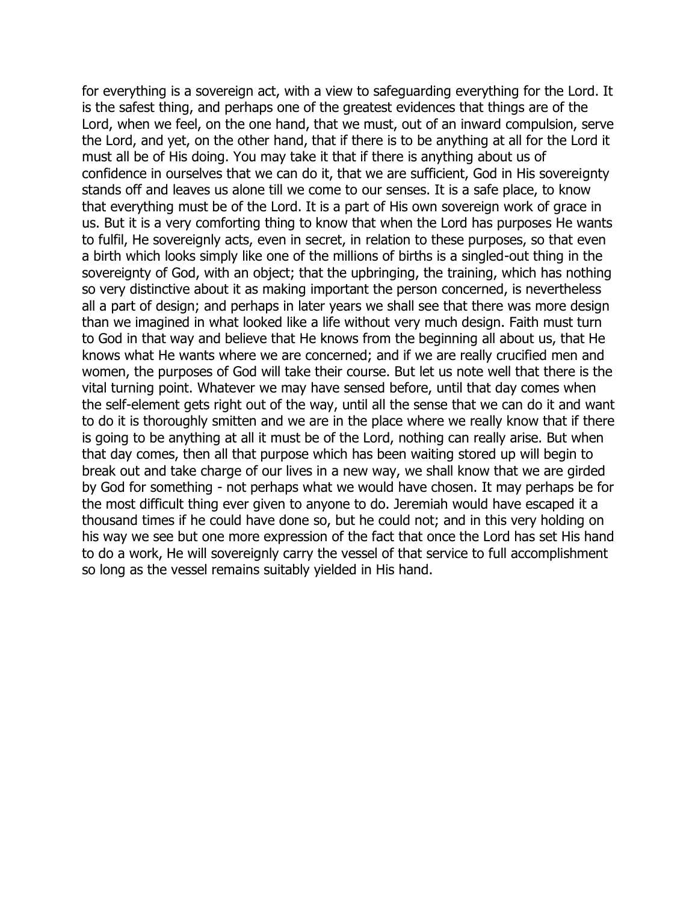for everything is a sovereign act, with a view to safeguarding everything for the Lord. It is the safest thing, and perhaps one of the greatest evidences that things are of the Lord, when we feel, on the one hand, that we must, out of an inward compulsion, serve the Lord, and yet, on the other hand, that if there is to be anything at all for the Lord it must all be of His doing. You may take it that if there is anything about us of confidence in ourselves that we can do it, that we are sufficient, God in His sovereignty stands off and leaves us alone till we come to our senses. It is a safe place, to know that everything must be of the Lord. It is a part of His own sovereign work of grace in us. But it is a very comforting thing to know that when the Lord has purposes He wants to fulfil, He sovereignly acts, even in secret, in relation to these purposes, so that even a birth which looks simply like one of the millions of births is a singled-out thing in the sovereignty of God, with an object; that the upbringing, the training, which has nothing so very distinctive about it as making important the person concerned, is nevertheless all a part of design; and perhaps in later years we shall see that there was more design than we imagined in what looked like a life without very much design. Faith must turn to God in that way and believe that He knows from the beginning all about us, that He knows what He wants where we are concerned; and if we are really crucified men and women, the purposes of God will take their course. But let us note well that there is the vital turning point. Whatever we may have sensed before, until that day comes when the self-element gets right out of the way, until all the sense that we can do it and want to do it is thoroughly smitten and we are in the place where we really know that if there is going to be anything at all it must be of the Lord, nothing can really arise. But when that day comes, then all that purpose which has been waiting stored up will begin to break out and take charge of our lives in a new way, we shall know that we are girded by God for something - not perhaps what we would have chosen. It may perhaps be for the most difficult thing ever given to anyone to do. Jeremiah would have escaped it a thousand times if he could have done so, but he could not; and in this very holding on his way we see but one more expression of the fact that once the Lord has set His hand to do a work, He will sovereignly carry the vessel of that service to full accomplishment so long as the vessel remains suitably yielded in His hand.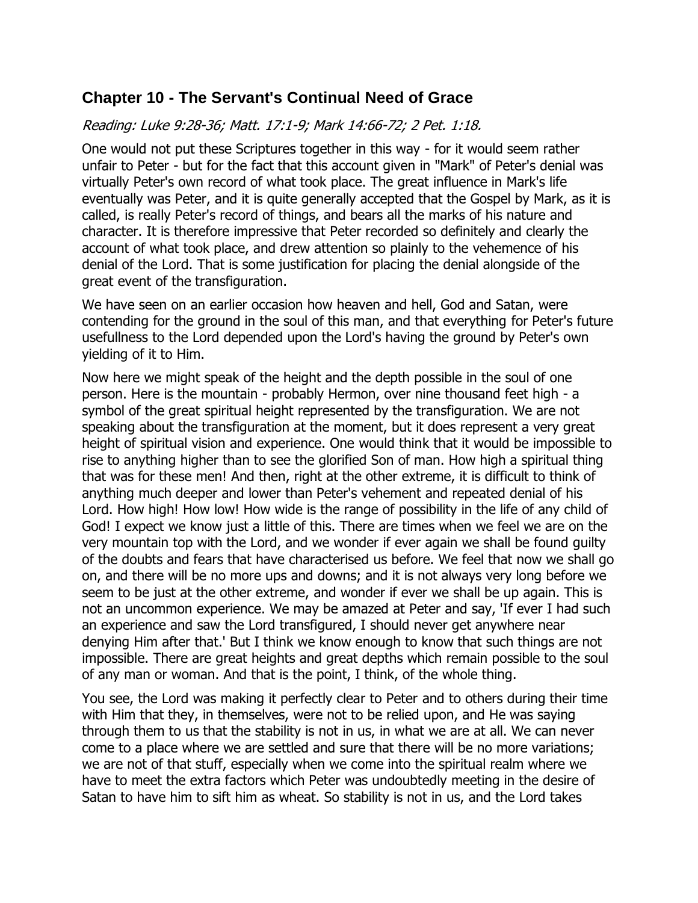# <span id="page-44-0"></span>**Chapter 10 - The Servant's Continual Need of Grace**

## Reading: Luke 9:28-36; Matt. 17:1-9; Mark 14:66-72; 2 Pet. 1:18.

One would not put these Scriptures together in this way - for it would seem rather unfair to Peter - but for the fact that this account given in "Mark" of Peter's denial was virtually Peter's own record of what took place. The great influence in Mark's life eventually was Peter, and it is quite generally accepted that the Gospel by Mark, as it is called, is really Peter's record of things, and bears all the marks of his nature and character. It is therefore impressive that Peter recorded so definitely and clearly the account of what took place, and drew attention so plainly to the vehemence of his denial of the Lord. That is some justification for placing the denial alongside of the great event of the transfiguration.

We have seen on an earlier occasion how heaven and hell, God and Satan, were contending for the ground in the soul of this man, and that everything for Peter's future usefullness to the Lord depended upon the Lord's having the ground by Peter's own yielding of it to Him.

Now here we might speak of the height and the depth possible in the soul of one person. Here is the mountain - probably Hermon, over nine thousand feet high - a symbol of the great spiritual height represented by the transfiguration. We are not speaking about the transfiguration at the moment, but it does represent a very great height of spiritual vision and experience. One would think that it would be impossible to rise to anything higher than to see the glorified Son of man. How high a spiritual thing that was for these men! And then, right at the other extreme, it is difficult to think of anything much deeper and lower than Peter's vehement and repeated denial of his Lord. How high! How low! How wide is the range of possibility in the life of any child of God! I expect we know just a little of this. There are times when we feel we are on the very mountain top with the Lord, and we wonder if ever again we shall be found guilty of the doubts and fears that have characterised us before. We feel that now we shall go on, and there will be no more ups and downs; and it is not always very long before we seem to be just at the other extreme, and wonder if ever we shall be up again. This is not an uncommon experience. We may be amazed at Peter and say, 'If ever I had such an experience and saw the Lord transfigured, I should never get anywhere near denying Him after that.' But I think we know enough to know that such things are not impossible. There are great heights and great depths which remain possible to the soul of any man or woman. And that is the point, I think, of the whole thing.

You see, the Lord was making it perfectly clear to Peter and to others during their time with Him that they, in themselves, were not to be relied upon, and He was saying through them to us that the stability is not in us, in what we are at all. We can never come to a place where we are settled and sure that there will be no more variations; we are not of that stuff, especially when we come into the spiritual realm where we have to meet the extra factors which Peter was undoubtedly meeting in the desire of Satan to have him to sift him as wheat. So stability is not in us, and the Lord takes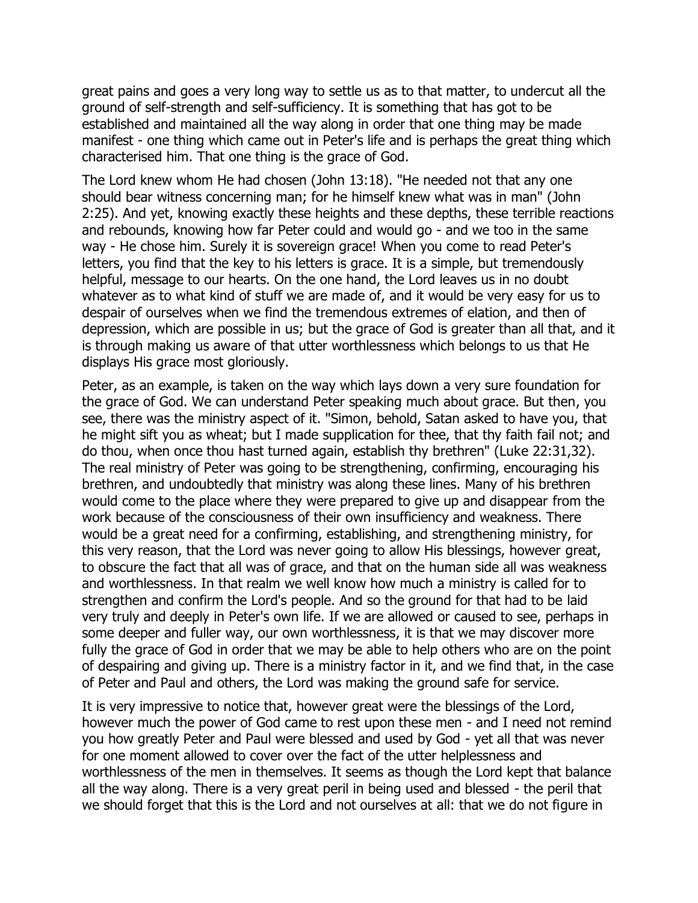great pains and goes a very long way to settle us as to that matter, to undercut all the ground of self-strength and self-sufficiency. It is something that has got to be established and maintained all the way along in order that one thing may be made manifest - one thing which came out in Peter's life and is perhaps the great thing which characterised him. That one thing is the grace of God.

The Lord knew whom He had chosen (John 13:18). "He needed not that any one should bear witness concerning man; for he himself knew what was in man" (John 2:25). And yet, knowing exactly these heights and these depths, these terrible reactions and rebounds, knowing how far Peter could and would go - and we too in the same way - He chose him. Surely it is sovereign grace! When you come to read Peter's letters, you find that the key to his letters is grace. It is a simple, but tremendously helpful, message to our hearts. On the one hand, the Lord leaves us in no doubt whatever as to what kind of stuff we are made of, and it would be very easy for us to despair of ourselves when we find the tremendous extremes of elation, and then of depression, which are possible in us; but the grace of God is greater than all that, and it is through making us aware of that utter worthlessness which belongs to us that He displays His grace most gloriously.

Peter, as an example, is taken on the way which lays down a very sure foundation for the grace of God. We can understand Peter speaking much about grace. But then, you see, there was the ministry aspect of it. "Simon, behold, Satan asked to have you, that he might sift you as wheat; but I made supplication for thee, that thy faith fail not; and do thou, when once thou hast turned again, establish thy brethren" (Luke 22:31,32). The real ministry of Peter was going to be strengthening, confirming, encouraging his brethren, and undoubtedly that ministry was along these lines. Many of his brethren would come to the place where they were prepared to give up and disappear from the work because of the consciousness of their own insufficiency and weakness. There would be a great need for a confirming, establishing, and strengthening ministry, for this very reason, that the Lord was never going to allow His blessings, however great, to obscure the fact that all was of grace, and that on the human side all was weakness and worthlessness. In that realm we well know how much a ministry is called for to strengthen and confirm the Lord's people. And so the ground for that had to be laid very truly and deeply in Peter's own life. If we are allowed or caused to see, perhaps in some deeper and fuller way, our own worthlessness, it is that we may discover more fully the grace of God in order that we may be able to help others who are on the point of despairing and giving up. There is a ministry factor in it, and we find that, in the case of Peter and Paul and others, the Lord was making the ground safe for service.

It is very impressive to notice that, however great were the blessings of the Lord, however much the power of God came to rest upon these men - and I need not remind you how greatly Peter and Paul were blessed and used by God - yet all that was never for one moment allowed to cover over the fact of the utter helplessness and worthlessness of the men in themselves. It seems as though the Lord kept that balance all the way along. There is a very great peril in being used and blessed - the peril that we should forget that this is the Lord and not ourselves at all: that we do not figure in